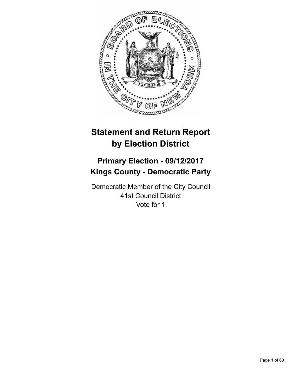

# **Statement and Return Report by Election District**

# **Primary Election - 09/12/2017 Kings County - Democratic Party**

Democratic Member of the City Council 41st Council District Vote for 1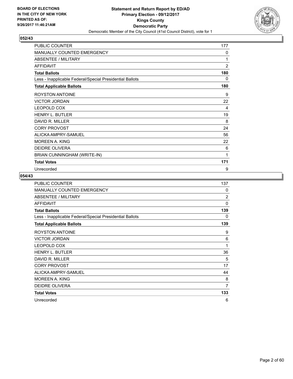

| PUBLIC COUNTER                                           | 177            |
|----------------------------------------------------------|----------------|
| <b>MANUALLY COUNTED EMERGENCY</b>                        | 0              |
| ABSENTEE / MILITARY                                      | 1              |
| <b>AFFIDAVIT</b>                                         | $\overline{2}$ |
| <b>Total Ballots</b>                                     | 180            |
| Less - Inapplicable Federal/Special Presidential Ballots | 0              |
| <b>Total Applicable Ballots</b>                          | 180            |
| <b>ROYSTON ANTOINE</b>                                   | 9              |
| <b>VICTOR JORDAN</b>                                     | 22             |
| <b>LEOPOLD COX</b>                                       | 4              |
| <b>HENRY L. BUTLER</b>                                   | 19             |
| DAVID R. MILLER                                          | 8              |
| <b>CORY PROVOST</b>                                      | 24             |
| ALICKA AMPRY-SAMUEL                                      | 56             |
| MOREEN A. KING                                           | 22             |
| <b>DEIDRE OLIVERA</b>                                    | 6              |
| BRIAN CUNNINGHAM (WRITE-IN)                              | 1              |
| <b>Total Votes</b>                                       | 171            |
| Unrecorded                                               | 9              |

| <b>PUBLIC COUNTER</b>                                    | 137            |
|----------------------------------------------------------|----------------|
| <b>MANUALLY COUNTED EMERGENCY</b>                        | $\Omega$       |
| ABSENTEE / MILITARY                                      | $\overline{2}$ |
| <b>AFFIDAVIT</b>                                         | 0              |
| <b>Total Ballots</b>                                     | 139            |
| Less - Inapplicable Federal/Special Presidential Ballots | 0              |
| <b>Total Applicable Ballots</b>                          | 139            |
| ROYSTON ANTOINE                                          | 9              |
| <b>VICTOR JORDAN</b>                                     | 6              |
| LEOPOLD COX                                              | 1              |
| <b>HENRY L. BUTLER</b>                                   | 36             |
| DAVID R. MILLER                                          | 5              |
| <b>CORY PROVOST</b>                                      | 17             |
| ALICKA AMPRY-SAMUEL                                      | 44             |
| <b>MOREEN A. KING</b>                                    | 8              |
| DEIDRE OLIVERA                                           | 7              |
| <b>Total Votes</b>                                       | 133            |
| Unrecorded                                               | 6              |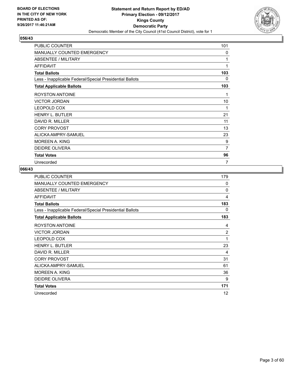

| PUBLIC COUNTER                                           | 101 |
|----------------------------------------------------------|-----|
| <b>MANUALLY COUNTED EMERGENCY</b>                        | 0   |
| ABSENTEE / MILITARY                                      | 1   |
| <b>AFFIDAVIT</b>                                         | 1   |
| <b>Total Ballots</b>                                     | 103 |
| Less - Inapplicable Federal/Special Presidential Ballots | 0   |
| <b>Total Applicable Ballots</b>                          | 103 |
| <b>ROYSTON ANTOINE</b>                                   | 1   |
| <b>VICTOR JORDAN</b>                                     | 10  |
| LEOPOLD COX                                              | 1   |
| <b>HENRY L. BUTLER</b>                                   | 21  |
| DAVID R. MILLER                                          | 11  |
| <b>CORY PROVOST</b>                                      | 13  |
| ALICKA AMPRY-SAMUEL                                      | 23  |
| <b>MOREEN A. KING</b>                                    | 9   |
| <b>DEIDRE OLIVERA</b>                                    | 7   |
| <b>Total Votes</b>                                       | 96  |
| Unrecorded                                               | 7   |

| PUBLIC COUNTER                                           | 179            |
|----------------------------------------------------------|----------------|
| <b>MANUALLY COUNTED EMERGENCY</b>                        | $\Omega$       |
| ABSENTEE / MILITARY                                      | $\Omega$       |
| <b>AFFIDAVIT</b>                                         | 4              |
| <b>Total Ballots</b>                                     | 183            |
| Less - Inapplicable Federal/Special Presidential Ballots | 0              |
| <b>Total Applicable Ballots</b>                          | 183            |
| <b>ROYSTON ANTOINE</b>                                   | 4              |
| <b>VICTOR JORDAN</b>                                     | $\overline{2}$ |
| <b>LEOPOLD COX</b>                                       | 1              |
| <b>HENRY L. BUTLER</b>                                   | 23             |
| DAVID R. MILLER                                          | 4              |
| <b>CORY PROVOST</b>                                      | 31             |
| ALICKA AMPRY-SAMUEL                                      | 61             |
| <b>MOREEN A. KING</b>                                    | 36             |
| DEIDRE OLIVERA                                           | 9              |
| <b>Total Votes</b>                                       | 171            |
| Unrecorded                                               | 12             |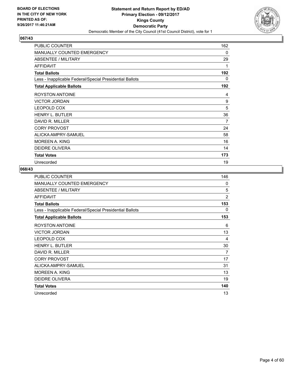

| <b>PUBLIC COUNTER</b>                                    | 162 |
|----------------------------------------------------------|-----|
| MANUALLY COUNTED EMERGENCY                               | 0   |
| <b>ABSENTEE / MILITARY</b>                               | 29  |
| <b>AFFIDAVIT</b>                                         | 1   |
| <b>Total Ballots</b>                                     | 192 |
| Less - Inapplicable Federal/Special Presidential Ballots | 0   |
| <b>Total Applicable Ballots</b>                          | 192 |
| <b>ROYSTON ANTOINE</b>                                   | 4   |
| <b>VICTOR JORDAN</b>                                     | 9   |
| <b>LEOPOLD COX</b>                                       | 5   |
| <b>HENRY L. BUTLER</b>                                   | 36  |
| DAVID R. MILLER                                          | 7   |
| <b>CORY PROVOST</b>                                      | 24  |
| ALICKA AMPRY-SAMUEL                                      | 58  |
| MOREEN A. KING                                           | 16  |
| <b>DEIDRE OLIVERA</b>                                    | 14  |
| <b>Total Votes</b>                                       | 173 |
| Unrecorded                                               | 19  |

| PUBLIC COUNTER                                           | 146            |
|----------------------------------------------------------|----------------|
| MANUALLY COUNTED EMERGENCY                               | $\mathbf{0}$   |
| <b>ABSENTEE / MILITARY</b>                               | 5              |
| <b>AFFIDAVIT</b>                                         | $\overline{2}$ |
| <b>Total Ballots</b>                                     | 153            |
| Less - Inapplicable Federal/Special Presidential Ballots | 0              |
| <b>Total Applicable Ballots</b>                          | 153            |
| ROYSTON ANTOINE                                          | 6              |
| <b>VICTOR JORDAN</b>                                     | 13             |
| <b>LEOPOLD COX</b>                                       | 4              |
| <b>HENRY L. BUTLER</b>                                   | 30             |
| DAVID R. MILLER                                          | 7              |
| <b>CORY PROVOST</b>                                      | 17             |
| ALICKA AMPRY-SAMUEL                                      | 31             |
| <b>MOREEN A. KING</b>                                    | 13             |
| <b>DEIDRE OLIVERA</b>                                    | 19             |
| <b>Total Votes</b>                                       | 140            |
| Unrecorded                                               | 13             |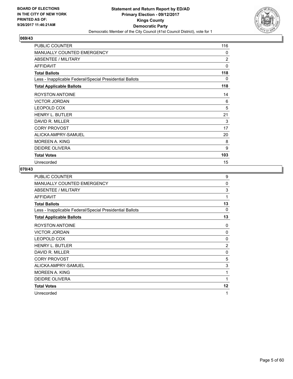

| PUBLIC COUNTER                                           | 116            |
|----------------------------------------------------------|----------------|
| MANUALLY COUNTED EMERGENCY                               | 0              |
| <b>ABSENTEE / MILITARY</b>                               | $\overline{2}$ |
| <b>AFFIDAVIT</b>                                         | 0              |
| <b>Total Ballots</b>                                     | 118            |
| Less - Inapplicable Federal/Special Presidential Ballots | 0              |
| <b>Total Applicable Ballots</b>                          | 118            |
| <b>ROYSTON ANTOINE</b>                                   | 14             |
| <b>VICTOR JORDAN</b>                                     | 6              |
| <b>LEOPOLD COX</b>                                       | 5              |
| <b>HENRY L. BUTLER</b>                                   | 21             |
| DAVID R. MILLER                                          | 3              |
| <b>CORY PROVOST</b>                                      | 17             |
| ALICKA AMPRY-SAMUEL                                      | 20             |
| MOREEN A. KING                                           | 8              |
| <b>DEIDRE OLIVERA</b>                                    | 9              |
| <b>Total Votes</b>                                       | 103            |
| Unrecorded                                               | 15             |

| <b>PUBLIC COUNTER</b>                                    | 9              |
|----------------------------------------------------------|----------------|
| MANUALLY COUNTED EMERGENCY                               | $\Omega$       |
| ABSENTEE / MILITARY                                      | 3              |
| <b>AFFIDAVIT</b>                                         | 1              |
| <b>Total Ballots</b>                                     | 13             |
| Less - Inapplicable Federal/Special Presidential Ballots | 0              |
| <b>Total Applicable Ballots</b>                          | 13             |
| <b>ROYSTON ANTOINE</b>                                   | 0              |
| <b>VICTOR JORDAN</b>                                     | $\Omega$       |
| LEOPOLD COX                                              | 0              |
| <b>HENRY L. BUTLER</b>                                   | $\overline{2}$ |
| DAVID R. MILLER                                          | $\mathbf 0$    |
| <b>CORY PROVOST</b>                                      | 5              |
| ALICKA AMPRY-SAMUEL                                      | 3              |
| <b>MOREEN A. KING</b>                                    | 1              |
| DEIDRE OLIVERA                                           | 1              |
| <b>Total Votes</b>                                       | 12             |
| Unrecorded                                               | 1              |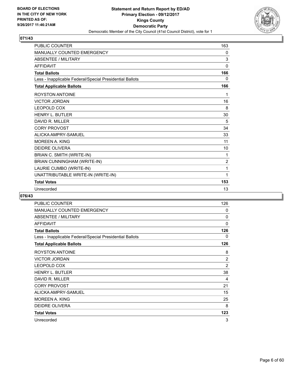

| <b>PUBLIC COUNTER</b>                                    | 163            |
|----------------------------------------------------------|----------------|
| <b>MANUALLY COUNTED EMERGENCY</b>                        | 0              |
| <b>ABSENTEE / MILITARY</b>                               | 3              |
| <b>AFFIDAVIT</b>                                         | 0              |
| <b>Total Ballots</b>                                     | 166            |
| Less - Inapplicable Federal/Special Presidential Ballots | 0              |
| <b>Total Applicable Ballots</b>                          | 166            |
| <b>ROYSTON ANTOINE</b>                                   | 1              |
| <b>VICTOR JORDAN</b>                                     | 16             |
| LEOPOLD COX                                              | 8              |
| <b>HENRY L. BUTLER</b>                                   | 30             |
| DAVID R. MILLER                                          | 5              |
| <b>CORY PROVOST</b>                                      | 34             |
| ALICKA AMPRY-SAMUEL                                      | 33             |
| <b>MOREEN A. KING</b>                                    | 11             |
| <b>DEIDRE OLIVERA</b>                                    | 10             |
| BRIAN C. SMITH (WRITE-IN)                                | 1              |
| BRIAN CUNNINGHAM (WRITE-IN)                              | $\overline{2}$ |
| LAURIE CUMBO (WRITE-IN)                                  | 1              |
| UNATTRIBUTABLE WRITE-IN (WRITE-IN)                       | 1              |
| <b>Total Votes</b>                                       | 153            |
| Unrecorded                                               | 13             |

| <b>PUBLIC COUNTER</b>                                    | 126            |
|----------------------------------------------------------|----------------|
| <b>MANUALLY COUNTED EMERGENCY</b>                        | 0              |
| ABSENTEE / MILITARY                                      | 0              |
| <b>AFFIDAVIT</b>                                         | $\mathbf 0$    |
| <b>Total Ballots</b>                                     | 126            |
| Less - Inapplicable Federal/Special Presidential Ballots | 0              |
| <b>Total Applicable Ballots</b>                          | 126            |
| <b>ROYSTON ANTOINE</b>                                   | 8              |
| <b>VICTOR JORDAN</b>                                     | $\overline{2}$ |
| LEOPOLD COX                                              | $\overline{2}$ |
| <b>HENRY L. BUTLER</b>                                   | 38             |
| DAVID R. MILLER                                          | 4              |
| <b>CORY PROVOST</b>                                      | 21             |
| ALICKA AMPRY-SAMUEL                                      | 15             |
| MOREEN A. KING                                           | 25             |
| <b>DEIDRE OLIVERA</b>                                    | 8              |
| <b>Total Votes</b>                                       | 123            |
| Unrecorded                                               | 3              |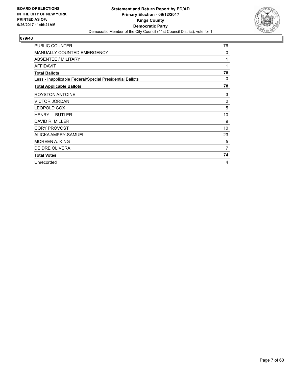

| <b>PUBLIC COUNTER</b>                                    | 76             |
|----------------------------------------------------------|----------------|
| MANUALLY COUNTED EMERGENCY                               | 0              |
| ABSENTEE / MILITARY                                      | 1              |
| <b>AFFIDAVIT</b>                                         | 1              |
| <b>Total Ballots</b>                                     | 78             |
| Less - Inapplicable Federal/Special Presidential Ballots | 0              |
| <b>Total Applicable Ballots</b>                          | 78             |
| <b>ROYSTON ANTOINE</b>                                   | 3              |
| <b>VICTOR JORDAN</b>                                     | $\overline{2}$ |
| LEOPOLD COX                                              | 5              |
| <b>HENRY L. BUTLER</b>                                   | 10             |
| DAVID R. MILLER                                          | 9              |
| <b>CORY PROVOST</b>                                      | 10             |
| ALICKA AMPRY-SAMUEL                                      | 23             |
| MOREEN A. KING                                           | 5              |
| <b>DEIDRE OLIVERA</b>                                    | $\overline{7}$ |
| <b>Total Votes</b>                                       | 74             |
| Unrecorded                                               | 4              |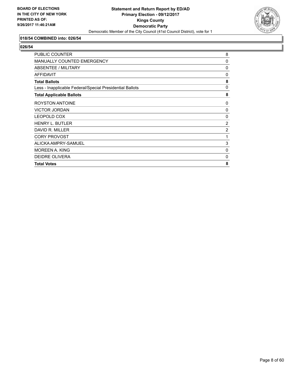

## **018/54 COMBINED into: 026/54**

| <b>PUBLIC COUNTER</b>                                    | 8              |
|----------------------------------------------------------|----------------|
| <b>MANUALLY COUNTED EMERGENCY</b>                        | 0              |
| <b>ABSENTEE / MILITARY</b>                               | 0              |
| <b>AFFIDAVIT</b>                                         | 0              |
| <b>Total Ballots</b>                                     | 8              |
| Less - Inapplicable Federal/Special Presidential Ballots | 0              |
| <b>Total Applicable Ballots</b>                          | 8              |
| ROYSTON ANTOINE                                          | 0              |
| <b>VICTOR JORDAN</b>                                     | 0              |
| LEOPOLD COX                                              | 0              |
| <b>HENRY L. BUTLER</b>                                   | 2              |
| DAVID R. MILLER                                          | $\overline{2}$ |
| <b>CORY PROVOST</b>                                      | 1              |
| ALICKA AMPRY-SAMUEL                                      | 3              |
| MOREEN A. KING                                           | 0              |
| <b>DEIDRE OLIVERA</b>                                    | 0              |
| <b>Total Votes</b>                                       | 8              |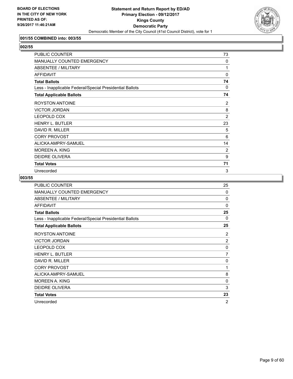

#### **001/55 COMBINED into: 003/55**

# **002/55**

| PUBLIC COUNTER                                           | 73             |
|----------------------------------------------------------|----------------|
| MANUALLY COUNTED EMERGENCY                               | $\Omega$       |
| ABSENTEE / MILITARY                                      | 1              |
| <b>AFFIDAVIT</b>                                         | $\Omega$       |
| <b>Total Ballots</b>                                     | 74             |
| Less - Inapplicable Federal/Special Presidential Ballots | 0              |
| <b>Total Applicable Ballots</b>                          | 74             |
| <b>ROYSTON ANTOINE</b>                                   | 2              |
| <b>VICTOR JORDAN</b>                                     | 8              |
| LEOPOLD COX                                              | $\overline{2}$ |
| <b>HENRY L. BUTLER</b>                                   | 23             |
| DAVID R. MILLER                                          | 5              |
| <b>CORY PROVOST</b>                                      | 6              |
| ALICKA AMPRY-SAMUEL                                      | 14             |
| MOREEN A. KING                                           | 2              |
| <b>DEIDRE OLIVERA</b>                                    | 9              |
| <b>Total Votes</b>                                       | 71             |
| Unrecorded                                               | 3              |

| PUBLIC COUNTER                                           | 25           |
|----------------------------------------------------------|--------------|
| <b>MANUALLY COUNTED EMERGENCY</b>                        | 0            |
| <b>ABSENTEE / MILITARY</b>                               | 0            |
| <b>AFFIDAVIT</b>                                         | $\mathbf{0}$ |
| <b>Total Ballots</b>                                     | 25           |
| Less - Inapplicable Federal/Special Presidential Ballots | $\Omega$     |
| <b>Total Applicable Ballots</b>                          | 25           |
| <b>ROYSTON ANTOINE</b>                                   | 2            |
| <b>VICTOR JORDAN</b>                                     | 2            |
| LEOPOLD COX                                              | 0            |
| <b>HENRY L. BUTLER</b>                                   | 7            |
| DAVID R. MILLER                                          | 0            |
| <b>CORY PROVOST</b>                                      | 1            |
| ALICKA AMPRY-SAMUEL                                      | 8            |
| <b>MOREEN A. KING</b>                                    | 0            |
| <b>DEIDRE OLIVERA</b>                                    | 3            |
| <b>Total Votes</b>                                       | 23           |
| Unrecorded                                               | 2            |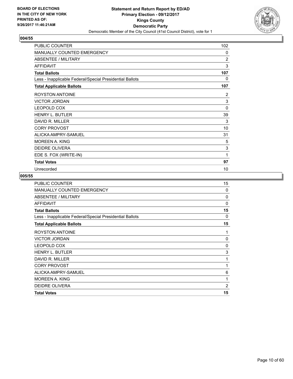

| PUBLIC COUNTER                                           | 102            |
|----------------------------------------------------------|----------------|
| <b>MANUALLY COUNTED EMERGENCY</b>                        | 0              |
| <b>ABSENTEE / MILITARY</b>                               | $\overline{2}$ |
| <b>AFFIDAVIT</b>                                         | 3              |
| <b>Total Ballots</b>                                     | 107            |
| Less - Inapplicable Federal/Special Presidential Ballots | 0              |
| <b>Total Applicable Ballots</b>                          | 107            |
| <b>ROYSTON ANTOINE</b>                                   | 2              |
| <b>VICTOR JORDAN</b>                                     | 3              |
| LEOPOLD COX                                              | $\mathbf{0}$   |
| <b>HENRY L. BUTLER</b>                                   | 39             |
| DAVID R. MILLER                                          | 3              |
| <b>CORY PROVOST</b>                                      | 10             |
| ALICKA AMPRY-SAMUEL                                      | 31             |
| <b>MOREEN A. KING</b>                                    | 5              |
| <b>DEIDRE OLIVERA</b>                                    | 3              |
| EDE S. FOX (WRITE-IN)                                    | 1              |
| <b>Total Votes</b>                                       | 97             |
| Unrecorded                                               | 10             |

| PUBLIC COUNTER                                           | 15             |
|----------------------------------------------------------|----------------|
| <b>MANUALLY COUNTED EMERGENCY</b>                        | 0              |
| ABSENTEE / MILITARY                                      | $\Omega$       |
| <b>AFFIDAVIT</b>                                         | $\Omega$       |
| <b>Total Ballots</b>                                     | 15             |
| Less - Inapplicable Federal/Special Presidential Ballots | 0              |
| <b>Total Applicable Ballots</b>                          | 15             |
| ROYSTON ANTOINE                                          | 1              |
| <b>VICTOR JORDAN</b>                                     | 0              |
| LEOPOLD COX                                              | 0              |
| <b>HENRY L. BUTLER</b>                                   | 3              |
| DAVID R. MILLER                                          | 1              |
| <b>CORY PROVOST</b>                                      | 1              |
| ALICKA AMPRY-SAMUEL                                      | 6              |
| <b>MOREEN A. KING</b>                                    | 1              |
| <b>DEIDRE OLIVERA</b>                                    | $\overline{2}$ |
| <b>Total Votes</b>                                       | 15             |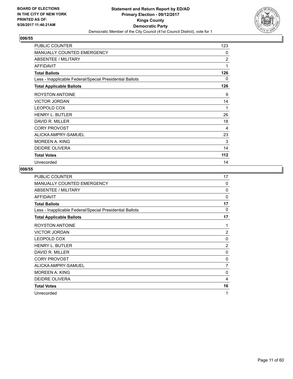

| PUBLIC COUNTER                                           | 123            |
|----------------------------------------------------------|----------------|
| MANUALLY COUNTED EMERGENCY                               | 0              |
| <b>ABSENTEE / MILITARY</b>                               | $\overline{2}$ |
| <b>AFFIDAVIT</b>                                         | 1              |
| <b>Total Ballots</b>                                     | 126            |
| Less - Inapplicable Federal/Special Presidential Ballots | 0              |
| <b>Total Applicable Ballots</b>                          | 126            |
| <b>ROYSTON ANTOINE</b>                                   | 9              |
| <b>VICTOR JORDAN</b>                                     | 14             |
| <b>LEOPOLD COX</b>                                       | 1              |
| <b>HENRY L. BUTLER</b>                                   | 26             |
| DAVID R. MILLER                                          | 18             |
| <b>CORY PROVOST</b>                                      | 4              |
| ALICKA AMPRY-SAMUEL                                      | 23             |
| MOREEN A. KING                                           | 3              |
| <b>DEIDRE OLIVERA</b>                                    | 14             |
| <b>Total Votes</b>                                       | 112            |
| Unrecorded                                               | 14             |

| PUBLIC COUNTER                                           | 17             |
|----------------------------------------------------------|----------------|
| <b>MANUALLY COUNTED EMERGENCY</b>                        | $\Omega$       |
| ABSENTEE / MILITARY                                      | $\Omega$       |
| <b>AFFIDAVIT</b>                                         | $\Omega$       |
| <b>Total Ballots</b>                                     | 17             |
| Less - Inapplicable Federal/Special Presidential Ballots | $\Omega$       |
| <b>Total Applicable Ballots</b>                          | 17             |
| <b>ROYSTON ANTOINE</b>                                   | 1              |
| <b>VICTOR JORDAN</b>                                     | 2              |
| <b>LEOPOLD COX</b>                                       | 0              |
| <b>HENRY L. BUTLER</b>                                   | $\overline{2}$ |
| DAVID R. MILLER                                          | 0              |
| <b>CORY PROVOST</b>                                      | 0              |
| ALICKA AMPRY-SAMUEL                                      | $\overline{7}$ |
| <b>MOREEN A. KING</b>                                    | 0              |
| DEIDRE OLIVERA                                           | 4              |
| <b>Total Votes</b>                                       | 16             |
| Unrecorded                                               | 1              |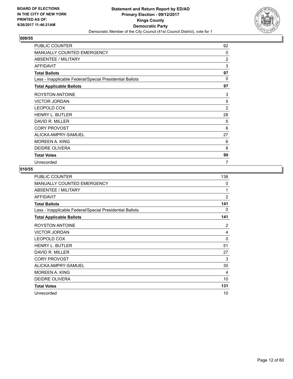

| PUBLIC COUNTER                                           | 92       |
|----------------------------------------------------------|----------|
| <b>MANUALLY COUNTED EMERGENCY</b>                        | $\Omega$ |
| <b>ABSENTEE / MILITARY</b>                               | 2        |
| <b>AFFIDAVIT</b>                                         | 3        |
| <b>Total Ballots</b>                                     | 97       |
| Less - Inapplicable Federal/Special Presidential Ballots | 0        |
| <b>Total Applicable Ballots</b>                          | 97       |
| <b>ROYSTON ANTOINE</b>                                   | 3        |
| <b>VICTOR JORDAN</b>                                     | 5        |
| <b>LEOPOLD COX</b>                                       | 2        |
| <b>HENRY L. BUTLER</b>                                   | 28       |
| DAVID R. MILLER                                          | 5        |
| <b>CORY PROVOST</b>                                      | 6        |
| ALICKA AMPRY-SAMUEL                                      | 27       |
| MOREEN A. KING                                           | 6        |
| <b>DEIDRE OLIVERA</b>                                    | 8        |
| <b>Total Votes</b>                                       | 90       |
| Unrecorded                                               | 7        |

| PUBLIC COUNTER                                           | 138            |
|----------------------------------------------------------|----------------|
| <b>MANUALLY COUNTED EMERGENCY</b>                        | $\mathbf{0}$   |
| ABSENTEE / MILITARY                                      | 1              |
| <b>AFFIDAVIT</b>                                         | $\overline{2}$ |
| <b>Total Ballots</b>                                     | 141            |
| Less - Inapplicable Federal/Special Presidential Ballots | 0              |
| <b>Total Applicable Ballots</b>                          | 141            |
| <b>ROYSTON ANTOINE</b>                                   | 2              |
| <b>VICTOR JORDAN</b>                                     | 4              |
| <b>LEOPOLD COX</b>                                       | 0              |
| <b>HENRY L. BUTLER</b>                                   | 51             |
| DAVID R. MILLER                                          | 27             |
| <b>CORY PROVOST</b>                                      | 3              |
| ALICKA AMPRY-SAMUEL                                      | 30             |
| <b>MOREEN A. KING</b>                                    | 4              |
| DEIDRE OLIVERA                                           | 10             |
| <b>Total Votes</b>                                       | 131            |
| Unrecorded                                               | 10             |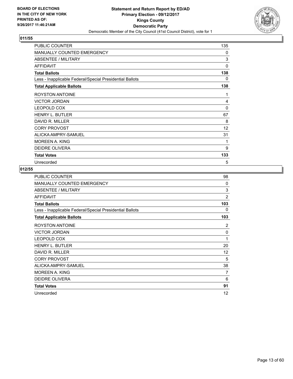

| <b>PUBLIC COUNTER</b>                                    | 135      |
|----------------------------------------------------------|----------|
| MANUALLY COUNTED EMERGENCY                               | 0        |
| ABSENTEE / MILITARY                                      | 3        |
| AFFIDAVIT                                                | 0        |
| <b>Total Ballots</b>                                     | 138      |
| Less - Inapplicable Federal/Special Presidential Ballots | 0        |
| <b>Total Applicable Ballots</b>                          | 138      |
| <b>ROYSTON ANTOINE</b>                                   | 1        |
| <b>VICTOR JORDAN</b>                                     | 4        |
| <b>LEOPOLD COX</b>                                       | $\Omega$ |
| <b>HENRY L. BUTLER</b>                                   | 67       |
| DAVID R. MILLER                                          | 8        |
| <b>CORY PROVOST</b>                                      | 12       |
| ALICKA AMPRY-SAMUEL                                      | 31       |
| MOREEN A. KING                                           | 1        |
| <b>DEIDRE OLIVERA</b>                                    | 9        |
| <b>Total Votes</b>                                       | 133      |
| Unrecorded                                               | 5        |

| PUBLIC COUNTER                                           | 98             |
|----------------------------------------------------------|----------------|
| <b>MANUALLY COUNTED EMERGENCY</b>                        | $\Omega$       |
| ABSENTEE / MILITARY                                      | 3              |
| <b>AFFIDAVIT</b>                                         | $\overline{2}$ |
| <b>Total Ballots</b>                                     | 103            |
| Less - Inapplicable Federal/Special Presidential Ballots | 0              |
| <b>Total Applicable Ballots</b>                          | 103            |
| <b>ROYSTON ANTOINE</b>                                   | 2              |
| <b>VICTOR JORDAN</b>                                     | $\mathbf 0$    |
| LEOPOLD COX                                              | 1              |
| <b>HENRY L. BUTLER</b>                                   | 20             |
| DAVID R. MILLER                                          | 12             |
| <b>CORY PROVOST</b>                                      | 5              |
| ALICKA AMPRY-SAMUEL                                      | 38             |
| MOREEN A. KING                                           | 7              |
| DEIDRE OLIVERA                                           | 6              |
| <b>Total Votes</b>                                       | 91             |
| Unrecorded                                               | 12             |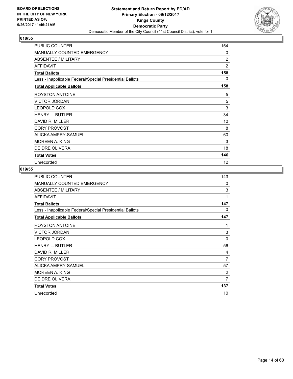

| <b>PUBLIC COUNTER</b>                                    | 154 |
|----------------------------------------------------------|-----|
| <b>MANUALLY COUNTED EMERGENCY</b>                        | 0   |
| ABSENTEE / MILITARY                                      | 2   |
| <b>AFFIDAVIT</b>                                         | 2   |
| <b>Total Ballots</b>                                     | 158 |
| Less - Inapplicable Federal/Special Presidential Ballots | 0   |
| <b>Total Applicable Ballots</b>                          | 158 |
| <b>ROYSTON ANTOINE</b>                                   | 5   |
| <b>VICTOR JORDAN</b>                                     | 5   |
| <b>LEOPOLD COX</b>                                       | 3   |
| <b>HENRY L. BUTLER</b>                                   | 34  |
| DAVID R. MILLER                                          | 10  |
| <b>CORY PROVOST</b>                                      | 8   |
| ALICKA AMPRY-SAMUEL                                      | 60  |
| <b>MOREEN A. KING</b>                                    | 3   |
| <b>DEIDRE OLIVERA</b>                                    | 18  |
| <b>Total Votes</b>                                       | 146 |
| Unrecorded                                               | 12  |

| PUBLIC COUNTER                                           | 143 |
|----------------------------------------------------------|-----|
| MANUALLY COUNTED EMERGENCY                               | 0   |
| ABSENTEE / MILITARY                                      | 3   |
| <b>AFFIDAVIT</b>                                         | 1   |
| <b>Total Ballots</b>                                     | 147 |
| Less - Inapplicable Federal/Special Presidential Ballots | 0   |
| <b>Total Applicable Ballots</b>                          | 147 |
| ROYSTON ANTOINE                                          | 1   |
| <b>VICTOR JORDAN</b>                                     | 3   |
| LEOPOLD COX                                              | 0   |
| <b>HENRY L. BUTLER</b>                                   | 56  |
| DAVID R. MILLER                                          | 4   |
| <b>CORY PROVOST</b>                                      | 7   |
| ALICKA AMPRY-SAMUEL                                      | 57  |
| <b>MOREEN A. KING</b>                                    | 2   |
| <b>DEIDRE OLIVERA</b>                                    | 7   |
| <b>Total Votes</b>                                       | 137 |
| Unrecorded                                               | 10  |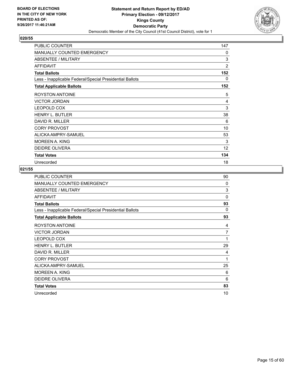

| <b>PUBLIC COUNTER</b>                                    | 147            |
|----------------------------------------------------------|----------------|
| <b>MANUALLY COUNTED EMERGENCY</b>                        | 0              |
| ABSENTEE / MILITARY                                      | 3              |
| <b>AFFIDAVIT</b>                                         | $\overline{2}$ |
| <b>Total Ballots</b>                                     | 152            |
| Less - Inapplicable Federal/Special Presidential Ballots | 0              |
| <b>Total Applicable Ballots</b>                          | 152            |
| <b>ROYSTON ANTOINE</b>                                   | 5              |
| <b>VICTOR JORDAN</b>                                     | 4              |
| <b>LEOPOLD COX</b>                                       | 3              |
| <b>HENRY L. BUTLER</b>                                   | 38             |
| DAVID R. MILLER                                          | 6              |
| <b>CORY PROVOST</b>                                      | 10             |
| ALICKA AMPRY-SAMUEL                                      | 53             |
| MOREEN A. KING                                           | 3              |
| <b>DEIDRE OLIVERA</b>                                    | 12             |
| <b>Total Votes</b>                                       | 134            |
| Unrecorded                                               | 18             |

| PUBLIC COUNTER                                           | 90             |
|----------------------------------------------------------|----------------|
| <b>MANUALLY COUNTED EMERGENCY</b>                        | $\Omega$       |
| ABSENTEE / MILITARY                                      | 3              |
| <b>AFFIDAVIT</b>                                         | $\Omega$       |
| <b>Total Ballots</b>                                     | 93             |
| Less - Inapplicable Federal/Special Presidential Ballots | $\Omega$       |
| <b>Total Applicable Ballots</b>                          | 93             |
| ROYSTON ANTOINE                                          | 4              |
| <b>VICTOR JORDAN</b>                                     | $\overline{7}$ |
| LEOPOLD COX                                              | 1              |
| <b>HENRY L. BUTLER</b>                                   | 29             |
| DAVID R. MILLER                                          | 4              |
| <b>CORY PROVOST</b>                                      | 1              |
| ALICKA AMPRY-SAMUEL                                      | 25             |
| MOREEN A. KING                                           | 6              |
| DEIDRE OLIVERA                                           | 6              |
| <b>Total Votes</b>                                       | 83             |
| Unrecorded                                               | 10             |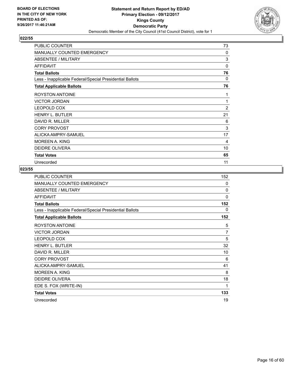

| <b>PUBLIC COUNTER</b>                                    | 73             |
|----------------------------------------------------------|----------------|
| MANUALLY COUNTED EMERGENCY                               | 0              |
| <b>ABSENTEE / MILITARY</b>                               | 3              |
| <b>AFFIDAVIT</b>                                         | $\mathbf{0}$   |
| <b>Total Ballots</b>                                     | 76             |
| Less - Inapplicable Federal/Special Presidential Ballots | 0              |
| <b>Total Applicable Ballots</b>                          | 76             |
| <b>ROYSTON ANTOINE</b>                                   | 1              |
| <b>VICTOR JORDAN</b>                                     | 1              |
| <b>LEOPOLD COX</b>                                       | $\overline{2}$ |
| <b>HENRY L. BUTLER</b>                                   | 21             |
| DAVID R. MILLER                                          | 6              |
| <b>CORY PROVOST</b>                                      | 3              |
| ALICKA AMPRY-SAMUEL                                      | 17             |
| MOREEN A. KING                                           | 4              |
| <b>DEIDRE OLIVERA</b>                                    | 10             |
| <b>Total Votes</b>                                       | 65             |
| Unrecorded                                               | 11             |

| PUBLIC COUNTER                                           | 152          |
|----------------------------------------------------------|--------------|
| MANUALLY COUNTED EMERGENCY                               | 0            |
| <b>ABSENTEE / MILITARY</b>                               | 0            |
| <b>AFFIDAVIT</b>                                         | $\mathbf{0}$ |
| <b>Total Ballots</b>                                     | 152          |
| Less - Inapplicable Federal/Special Presidential Ballots | 0            |
| <b>Total Applicable Ballots</b>                          | 152          |
| <b>ROYSTON ANTOINE</b>                                   | 5            |
| <b>VICTOR JORDAN</b>                                     | 7            |
| LEOPOLD COX                                              | 5            |
| <b>HENRY L. BUTLER</b>                                   | 32           |
| DAVID R. MILLER                                          | 10           |
| <b>CORY PROVOST</b>                                      | 6            |
| ALICKA AMPRY-SAMUEL                                      | 41           |
| <b>MOREEN A. KING</b>                                    | 8            |
| <b>DEIDRE OLIVERA</b>                                    | 18           |
| EDE S. FOX (WRITE-IN)                                    | 1            |
| <b>Total Votes</b>                                       | 133          |
| Unrecorded                                               | 19           |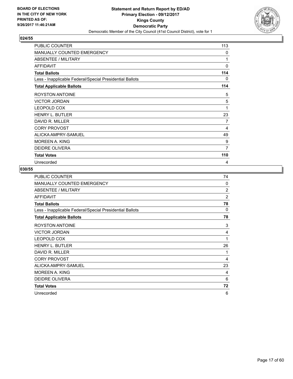

| <b>PUBLIC COUNTER</b>                                    | 113 |
|----------------------------------------------------------|-----|
| <b>MANUALLY COUNTED EMERGENCY</b>                        | 0   |
| ABSENTEE / MILITARY                                      | 1   |
| <b>AFFIDAVIT</b>                                         | 0   |
| <b>Total Ballots</b>                                     | 114 |
| Less - Inapplicable Federal/Special Presidential Ballots | 0   |
| <b>Total Applicable Ballots</b>                          | 114 |
| <b>ROYSTON ANTOINE</b>                                   | 5   |
| <b>VICTOR JORDAN</b>                                     | 5   |
| <b>LEOPOLD COX</b>                                       | 1   |
| <b>HENRY L. BUTLER</b>                                   | 23  |
| DAVID R. MILLER                                          | 7   |
| <b>CORY PROVOST</b>                                      | 4   |
| ALICKA AMPRY-SAMUEL                                      | 49  |
| <b>MOREEN A. KING</b>                                    | 9   |
| <b>DEIDRE OLIVERA</b>                                    | 7   |
| <b>Total Votes</b>                                       | 110 |
| Unrecorded                                               | 4   |

| PUBLIC COUNTER                                           | 74             |
|----------------------------------------------------------|----------------|
| MANUALLY COUNTED EMERGENCY                               | 0              |
| ABSENTEE / MILITARY                                      | $\overline{2}$ |
| <b>AFFIDAVIT</b>                                         | $\overline{2}$ |
| <b>Total Ballots</b>                                     | 78             |
| Less - Inapplicable Federal/Special Presidential Ballots | 0              |
| <b>Total Applicable Ballots</b>                          | 78             |
| ROYSTON ANTOINE                                          | 3              |
| <b>VICTOR JORDAN</b>                                     | 4              |
| LEOPOLD COX                                              | 1              |
| <b>HENRY L. BUTLER</b>                                   | 26             |
| DAVID R. MILLER                                          | 1              |
| <b>CORY PROVOST</b>                                      | 4              |
| ALICKA AMPRY-SAMUEL                                      | 23             |
| <b>MOREEN A. KING</b>                                    | 4              |
| <b>DEIDRE OLIVERA</b>                                    | 6              |
| <b>Total Votes</b>                                       | 72             |
| Unrecorded                                               | 6              |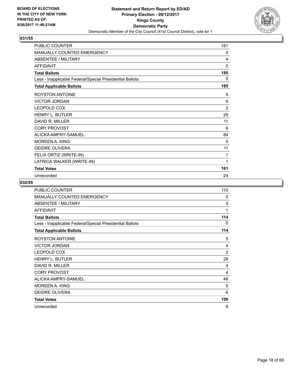

| <b>PUBLIC COUNTER</b>                                    | 181          |
|----------------------------------------------------------|--------------|
| MANUALLY COUNTED EMERGENCY                               | 0            |
| <b>ABSENTEE / MILITARY</b>                               | 4            |
| <b>AFFIDAVIT</b>                                         | $\mathbf{0}$ |
| <b>Total Ballots</b>                                     | 185          |
| Less - Inapplicable Federal/Special Presidential Ballots | 0            |
| <b>Total Applicable Ballots</b>                          | 185          |
| ROYSTON ANTOINE                                          | 5            |
| <b>VICTOR JORDAN</b>                                     | 6            |
| <b>LEOPOLD COX</b>                                       | 2            |
| <b>HENRY L. BUTLER</b>                                   | 29           |
| DAVID R. MILLER                                          | 11           |
| <b>CORY PROVOST</b>                                      | 6            |
| ALICKA AMPRY-SAMUEL                                      | 84           |
| <b>MOREEN A. KING</b>                                    | 5            |
| <b>DEIDRE OLIVERA</b>                                    | 11           |
| FELIX ORTIZ (WRITE-IN)                                   | 1            |
| LATRICA WALKER (WRITE-IN)                                | 1            |
| <b>Total Votes</b>                                       | 161          |
| Unrecorded                                               | 24           |

| <b>PUBLIC COUNTER</b>                                    | 110            |
|----------------------------------------------------------|----------------|
| <b>MANUALLY COUNTED EMERGENCY</b>                        | 0              |
| <b>ABSENTEE / MILITARY</b>                               | 3              |
| <b>AFFIDAVIT</b>                                         | 1              |
| <b>Total Ballots</b>                                     | 114            |
| Less - Inapplicable Federal/Special Presidential Ballots | 0              |
| <b>Total Applicable Ballots</b>                          | 114            |
| ROYSTON ANTOINE                                          | 5              |
| <b>VICTOR JORDAN</b>                                     | 4              |
| LEOPOLD COX                                              | $\overline{2}$ |
| <b>HENRY L. BUTLER</b>                                   | 28             |
| DAVID R. MILLER                                          | 4              |
| <b>CORY PROVOST</b>                                      | 4              |
| ALICKA AMPRY-SAMUEL                                      | 48             |
| MOREEN A. KING                                           | 5              |
| DEIDRE OLIVERA                                           | 6              |
| <b>Total Votes</b>                                       | 106            |
| Unrecorded                                               | 8              |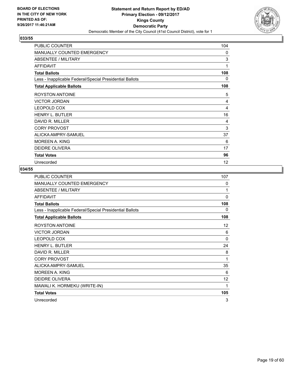

| <b>PUBLIC COUNTER</b>                                    | 104 |
|----------------------------------------------------------|-----|
| <b>MANUALLY COUNTED EMERGENCY</b>                        | 0   |
| ABSENTEE / MILITARY                                      | 3   |
| <b>AFFIDAVIT</b>                                         | 1   |
| <b>Total Ballots</b>                                     | 108 |
| Less - Inapplicable Federal/Special Presidential Ballots | 0   |
| <b>Total Applicable Ballots</b>                          | 108 |
| <b>ROYSTON ANTOINE</b>                                   | 5   |
| <b>VICTOR JORDAN</b>                                     | 4   |
| <b>LEOPOLD COX</b>                                       | 4   |
| <b>HENRY L. BUTLER</b>                                   | 16  |
| DAVID R. MILLER                                          | 4   |
| <b>CORY PROVOST</b>                                      | 3   |
| ALICKA AMPRY-SAMUEL                                      | 37  |
| <b>MOREEN A. KING</b>                                    | 6   |
| <b>DEIDRE OLIVERA</b>                                    | 17  |
| <b>Total Votes</b>                                       | 96  |
| Unrecorded                                               | 12  |

| <b>PUBLIC COUNTER</b>                                    | 107          |
|----------------------------------------------------------|--------------|
| <b>MANUALLY COUNTED EMERGENCY</b>                        | 0            |
| ABSENTEE / MILITARY                                      | 1            |
| <b>AFFIDAVIT</b>                                         | $\mathbf{0}$ |
| <b>Total Ballots</b>                                     | 108          |
| Less - Inapplicable Federal/Special Presidential Ballots | 0            |
| <b>Total Applicable Ballots</b>                          | 108          |
| ROYSTON ANTOINE                                          | 12           |
| <b>VICTOR JORDAN</b>                                     | 6            |
| LEOPOLD COX                                              | $\mathbf{0}$ |
| <b>HENRY L. BUTLER</b>                                   | 24           |
| DAVID R. MILLER                                          | 8            |
| <b>CORY PROVOST</b>                                      | 1            |
| ALICKA AMPRY-SAMUEL                                      | 35           |
| <b>MOREEN A. KING</b>                                    | 6            |
| <b>DEIDRE OLIVERA</b>                                    | 12           |
| MAWALI K. HORMEKU (WRITE-IN)                             | 1            |
| <b>Total Votes</b>                                       | 105          |
| Unrecorded                                               | 3            |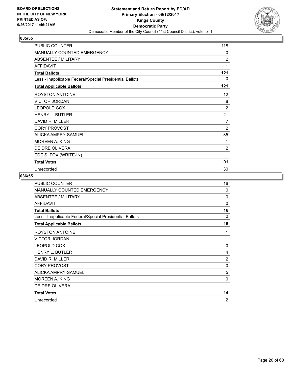

| <b>PUBLIC COUNTER</b>                                    | 118            |
|----------------------------------------------------------|----------------|
| <b>MANUALLY COUNTED EMERGENCY</b>                        | 0              |
| <b>ABSENTEE / MILITARY</b>                               | $\overline{2}$ |
| <b>AFFIDAVIT</b>                                         | 1              |
| <b>Total Ballots</b>                                     | 121            |
| Less - Inapplicable Federal/Special Presidential Ballots | $\mathbf{0}$   |
| <b>Total Applicable Ballots</b>                          | 121            |
| <b>ROYSTON ANTOINE</b>                                   | 12             |
| <b>VICTOR JORDAN</b>                                     | 8              |
| <b>LEOPOLD COX</b>                                       | $\overline{2}$ |
| <b>HENRY L. BUTLER</b>                                   | 21             |
| DAVID R. MILLER                                          | 7              |
| <b>CORY PROVOST</b>                                      | $\overline{2}$ |
| ALICKA AMPRY-SAMUEL                                      | 35             |
| <b>MOREEN A. KING</b>                                    | 1              |
| DEIDRE OLIVERA                                           | 2              |
| EDE S. FOX (WRITE-IN)                                    | 1              |
| <b>Total Votes</b>                                       | 91             |
| Unrecorded                                               | 30             |

| <b>PUBLIC COUNTER</b>                                    | 16             |
|----------------------------------------------------------|----------------|
| <b>MANUALLY COUNTED EMERGENCY</b>                        | $\Omega$       |
| <b>ABSENTEE / MILITARY</b>                               | $\Omega$       |
| <b>AFFIDAVIT</b>                                         | $\Omega$       |
| <b>Total Ballots</b>                                     | 16             |
| Less - Inapplicable Federal/Special Presidential Ballots | $\Omega$       |
| <b>Total Applicable Ballots</b>                          | 16             |
| <b>ROYSTON ANTOINE</b>                                   | 1              |
| <b>VICTOR JORDAN</b>                                     | 1              |
| LEOPOLD COX                                              | 0              |
| <b>HENRY L. BUTLER</b>                                   | 4              |
| DAVID R. MILLER                                          | $\overline{2}$ |
| <b>CORY PROVOST</b>                                      | 0              |
| ALICKA AMPRY-SAMUEL                                      | 5              |
| MOREEN A. KING                                           | $\mathbf 0$    |
| <b>DEIDRE OLIVERA</b>                                    | 1              |
| <b>Total Votes</b>                                       | 14             |
| Unrecorded                                               | $\overline{2}$ |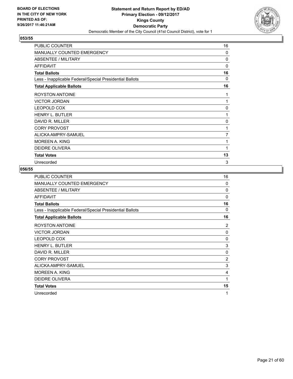

| <b>PUBLIC COUNTER</b>                                    | 16       |
|----------------------------------------------------------|----------|
| <b>MANUALLY COUNTED EMERGENCY</b>                        | 0        |
| ABSENTEE / MILITARY                                      | 0        |
| <b>AFFIDAVIT</b>                                         | $\Omega$ |
| <b>Total Ballots</b>                                     | 16       |
| Less - Inapplicable Federal/Special Presidential Ballots | $\Omega$ |
| <b>Total Applicable Ballots</b>                          | 16       |
| <b>ROYSTON ANTOINE</b>                                   | 1        |
| <b>VICTOR JORDAN</b>                                     | 1        |
| <b>LEOPOLD COX</b>                                       | 0        |
| <b>HENRY L. BUTLER</b>                                   | 1        |
| DAVID R. MILLER                                          | $\Omega$ |
| <b>CORY PROVOST</b>                                      | 1        |
| ALICKA AMPRY-SAMUEL                                      | 7        |
| <b>MOREEN A. KING</b>                                    | 1        |
| <b>DEIDRE OLIVERA</b>                                    | 1        |
| <b>Total Votes</b>                                       | 13       |
| Unrecorded                                               | 3        |

| PUBLIC COUNTER                                           | 16             |
|----------------------------------------------------------|----------------|
| MANUALLY COUNTED EMERGENCY                               | 0              |
| <b>ABSENTEE / MILITARY</b>                               | $\mathbf 0$    |
| <b>AFFIDAVIT</b>                                         | $\Omega$       |
| <b>Total Ballots</b>                                     | 16             |
| Less - Inapplicable Federal/Special Presidential Ballots | 0              |
| <b>Total Applicable Ballots</b>                          | 16             |
| ROYSTON ANTOINE                                          | $\overline{2}$ |
| <b>VICTOR JORDAN</b>                                     | 0              |
| LEOPOLD COX                                              | $\mathbf 0$    |
| <b>HENRY L. BUTLER</b>                                   | 3              |
| DAVID R. MILLER                                          | 0              |
| <b>CORY PROVOST</b>                                      | $\overline{2}$ |
| ALICKA AMPRY-SAMUEL                                      | 3              |
| <b>MOREEN A. KING</b>                                    | 4              |
| DEIDRE OLIVERA                                           | 1              |
| <b>Total Votes</b>                                       | 15             |
| Unrecorded                                               | 1              |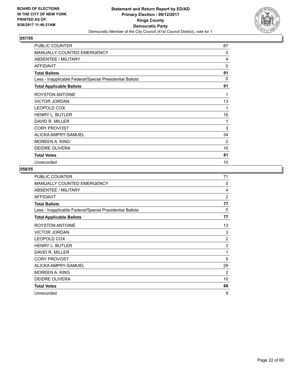

| PUBLIC COUNTER                                           | 87       |
|----------------------------------------------------------|----------|
| MANUALLY COUNTED EMERGENCY                               | 0        |
| <b>ABSENTEE / MILITARY</b>                               | 4        |
| <b>AFFIDAVIT</b>                                         | 0        |
| <b>Total Ballots</b>                                     | 91       |
| Less - Inapplicable Federal/Special Presidential Ballots | $\Omega$ |
| <b>Total Applicable Ballots</b>                          | 91       |
| <b>ROYSTON ANTOINE</b>                                   | 1        |
| <b>VICTOR JORDAN</b>                                     | 13       |
| <b>LEOPOLD COX</b>                                       | 1        |
| <b>HENRY L. BUTLER</b>                                   | 16       |
| DAVID R. MILLER                                          | 1        |
| <b>CORY PROVOST</b>                                      | 3        |
| ALICKA AMPRY-SAMUEL                                      | 34       |
| MOREEN A. KING                                           | 2        |
| <b>DEIDRE OLIVERA</b>                                    | 10       |
| <b>Total Votes</b>                                       | 81       |
| Unrecorded                                               | 10       |

| PUBLIC COUNTER                                           | 71             |
|----------------------------------------------------------|----------------|
| MANUALLY COUNTED EMERGENCY                               | $\Omega$       |
| ABSENTEE / MILITARY                                      | 4              |
| <b>AFFIDAVIT</b>                                         | $\overline{2}$ |
| <b>Total Ballots</b>                                     | 77             |
| Less - Inapplicable Federal/Special Presidential Ballots | $\Omega$       |
| <b>Total Applicable Ballots</b>                          | 77             |
| <b>ROYSTON ANTOINE</b>                                   | 13             |
| <b>VICTOR JORDAN</b>                                     | 3              |
| <b>LEOPOLD COX</b>                                       | $\overline{2}$ |
| <b>HENRY L. BUTLER</b>                                   | 3              |
| DAVID R. MILLER                                          | 1              |
| <b>CORY PROVOST</b>                                      | 5              |
| ALICKA AMPRY-SAMUEL                                      | 29             |
| <b>MOREEN A. KING</b>                                    | 2              |
| DEIDRE OLIVERA                                           | 10             |
| <b>Total Votes</b>                                       | 68             |
| Unrecorded                                               | 9              |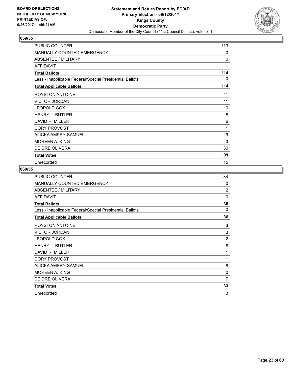

| <b>PUBLIC COUNTER</b>                                    | 113      |
|----------------------------------------------------------|----------|
| <b>MANUALLY COUNTED EMERGENCY</b>                        | 0        |
| ABSENTEE / MILITARY                                      | 0        |
| <b>AFFIDAVIT</b>                                         | 1        |
| <b>Total Ballots</b>                                     | 114      |
| Less - Inapplicable Federal/Special Presidential Ballots | 0        |
| <b>Total Applicable Ballots</b>                          | 114      |
| <b>ROYSTON ANTOINE</b>                                   | 11       |
| <b>VICTOR JORDAN</b>                                     | 11       |
| <b>LEOPOLD COX</b>                                       | $\Omega$ |
| <b>HENRY L. BUTLER</b>                                   | 8        |
| DAVID R. MILLER                                          | 6        |
| <b>CORY PROVOST</b>                                      | 1        |
| ALICKA AMPRY-SAMUEL                                      | 29       |
| MOREEN A. KING                                           | 3        |
| <b>DEIDRE OLIVERA</b>                                    | 30       |
| <b>Total Votes</b>                                       | 99       |
| Unrecorded                                               | 15       |

| PUBLIC COUNTER                                           | 34             |
|----------------------------------------------------------|----------------|
| MANUALLY COUNTED EMERGENCY                               | $\Omega$       |
| ABSENTEE / MILITARY                                      | $\overline{2}$ |
| <b>AFFIDAVIT</b>                                         | $\Omega$       |
| <b>Total Ballots</b>                                     | 36             |
| Less - Inapplicable Federal/Special Presidential Ballots | $\Omega$       |
| <b>Total Applicable Ballots</b>                          | 36             |
| ROYSTON ANTOINE                                          | 3              |
| <b>VICTOR JORDAN</b>                                     | 3              |
| LEOPOLD COX                                              | $\overline{2}$ |
| <b>HENRY L. BUTLER</b>                                   | 8              |
| DAVID R. MILLER                                          | 1              |
| <b>CORY PROVOST</b>                                      | 1              |
| ALICKA AMPRY-SAMUEL                                      | 8              |
| <b>MOREEN A. KING</b>                                    | 0              |
| <b>DEIDRE OLIVERA</b>                                    | 7              |
| <b>Total Votes</b>                                       | 33             |
| Unrecorded                                               | 3              |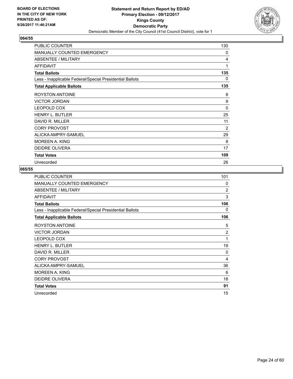

| PUBLIC COUNTER                                           | 130      |
|----------------------------------------------------------|----------|
| MANUALLY COUNTED EMERGENCY                               | 0        |
| <b>ABSENTEE / MILITARY</b>                               | 4        |
| <b>AFFIDAVIT</b>                                         | 1        |
| <b>Total Ballots</b>                                     | 135      |
| Less - Inapplicable Federal/Special Presidential Ballots | 0        |
| <b>Total Applicable Ballots</b>                          | 135      |
| <b>ROYSTON ANTOINE</b>                                   | 8        |
| <b>VICTOR JORDAN</b>                                     | 9        |
| <b>LEOPOLD COX</b>                                       | $\Omega$ |
| <b>HENRY L. BUTLER</b>                                   | 25       |
| DAVID R. MILLER                                          | 11       |
| <b>CORY PROVOST</b>                                      | 2        |
| ALICKA AMPRY-SAMUEL                                      | 29       |
| MOREEN A. KING                                           | 8        |
| <b>DEIDRE OLIVERA</b>                                    | 17       |
| <b>Total Votes</b>                                       | 109      |
| Unrecorded                                               | 26       |

| PUBLIC COUNTER                                           | 101            |
|----------------------------------------------------------|----------------|
| MANUALLY COUNTED EMERGENCY                               | $\Omega$       |
| <b>ABSENTEE / MILITARY</b>                               | $\overline{2}$ |
| <b>AFFIDAVIT</b>                                         | 3              |
| <b>Total Ballots</b>                                     | 106            |
| Less - Inapplicable Federal/Special Presidential Ballots | 0              |
| <b>Total Applicable Ballots</b>                          | 106            |
| ROYSTON ANTOINE                                          | 5              |
| <b>VICTOR JORDAN</b>                                     | $\overline{2}$ |
| <b>LEOPOLD COX</b>                                       | 1              |
| <b>HENRY L. BUTLER</b>                                   | 19             |
| DAVID R. MILLER                                          | 0              |
| <b>CORY PROVOST</b>                                      | 4              |
| ALICKA AMPRY-SAMUEL                                      | 36             |
| <b>MOREEN A. KING</b>                                    | 6              |
| <b>DEIDRE OLIVERA</b>                                    | 18             |
| <b>Total Votes</b>                                       | 91             |
| Unrecorded                                               | 15             |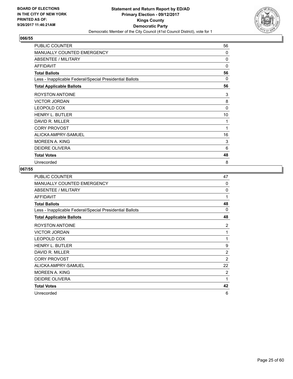

| PUBLIC COUNTER                                           | 56       |
|----------------------------------------------------------|----------|
| MANUALLY COUNTED EMERGENCY                               | 0        |
| <b>ABSENTEE / MILITARY</b>                               | 0        |
| <b>AFFIDAVIT</b>                                         | 0        |
| <b>Total Ballots</b>                                     | 56       |
| Less - Inapplicable Federal/Special Presidential Ballots | 0        |
| <b>Total Applicable Ballots</b>                          | 56       |
| <b>ROYSTON ANTOINE</b>                                   | 3        |
| <b>VICTOR JORDAN</b>                                     | 8        |
| <b>LEOPOLD COX</b>                                       | $\Omega$ |
| <b>HENRY L. BUTLER</b>                                   | 10       |
| DAVID R. MILLER                                          | 1        |
| <b>CORY PROVOST</b>                                      | 1        |
| ALICKA AMPRY-SAMUEL                                      | 16       |
| MOREEN A. KING                                           | 3        |
| <b>DEIDRE OLIVERA</b>                                    | 6        |
| <b>Total Votes</b>                                       | 48       |
| Unrecorded                                               | 8        |

| PUBLIC COUNTER                                           | 47             |
|----------------------------------------------------------|----------------|
| MANUALLY COUNTED EMERGENCY                               | $\Omega$       |
| ABSENTEE / MILITARY                                      | $\Omega$       |
| <b>AFFIDAVIT</b>                                         | 1              |
| <b>Total Ballots</b>                                     | 48             |
| Less - Inapplicable Federal/Special Presidential Ballots | 0              |
| <b>Total Applicable Ballots</b>                          | 48             |
| <b>ROYSTON ANTOINE</b>                                   | $\overline{2}$ |
| <b>VICTOR JORDAN</b>                                     | 1              |
| <b>LEOPOLD COX</b>                                       | 1              |
| <b>HENRY L. BUTLER</b>                                   | 9              |
| DAVID R. MILLER                                          | $\overline{2}$ |
| <b>CORY PROVOST</b>                                      | $\overline{2}$ |
| ALICKA AMPRY-SAMUEL                                      | 22             |
| <b>MOREEN A. KING</b>                                    | 2              |
| DEIDRE OLIVERA                                           | 1              |
| <b>Total Votes</b>                                       | 42             |
| Unrecorded                                               | 6              |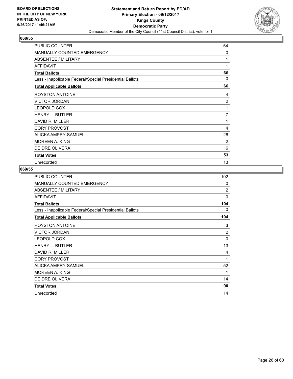

| PUBLIC COUNTER                                           | 64             |
|----------------------------------------------------------|----------------|
| MANUALLY COUNTED EMERGENCY                               | 0              |
| <b>ABSENTEE / MILITARY</b>                               | 1              |
| <b>AFFIDAVIT</b>                                         | 1              |
| <b>Total Ballots</b>                                     | 66             |
| Less - Inapplicable Federal/Special Presidential Ballots | 0              |
| <b>Total Applicable Ballots</b>                          | 66             |
| <b>ROYSTON ANTOINE</b>                                   | 4              |
| <b>VICTOR JORDAN</b>                                     | $\overline{2}$ |
| <b>LEOPOLD COX</b>                                       | 1              |
| <b>HENRY L. BUTLER</b>                                   | 7              |
| DAVID R. MILLER                                          | 1              |
| <b>CORY PROVOST</b>                                      | 4              |
| ALICKA AMPRY-SAMUEL                                      | 26             |
| MOREEN A. KING                                           | 2              |
| <b>DEIDRE OLIVERA</b>                                    | 6              |
| <b>Total Votes</b>                                       | 53             |
| Unrecorded                                               | 13             |

| PUBLIC COUNTER                                           | 102            |
|----------------------------------------------------------|----------------|
| <b>MANUALLY COUNTED EMERGENCY</b>                        | $\Omega$       |
| ABSENTEE / MILITARY                                      | $\overline{2}$ |
| <b>AFFIDAVIT</b>                                         | $\Omega$       |
| <b>Total Ballots</b>                                     | 104            |
| Less - Inapplicable Federal/Special Presidential Ballots | 0              |
| <b>Total Applicable Ballots</b>                          | 104            |
| <b>ROYSTON ANTOINE</b>                                   | 3              |
| <b>VICTOR JORDAN</b>                                     | $\overline{2}$ |
| <b>LEOPOLD COX</b>                                       | $\Omega$       |
| <b>HENRY L. BUTLER</b>                                   | 13             |
| DAVID R. MILLER                                          | 4              |
| <b>CORY PROVOST</b>                                      | 1              |
| ALICKA AMPRY-SAMUEL                                      | 52             |
| <b>MOREEN A. KING</b>                                    | 1              |
| DEIDRE OLIVERA                                           | 14             |
| <b>Total Votes</b>                                       | 90             |
| Unrecorded                                               | 14             |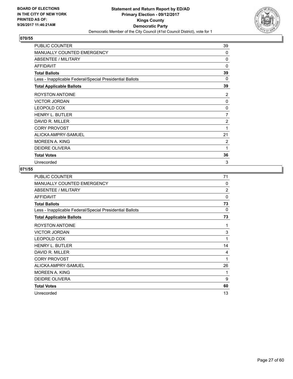

| <b>PUBLIC COUNTER</b>                                    | 39       |
|----------------------------------------------------------|----------|
| <b>MANUALLY COUNTED EMERGENCY</b>                        | 0        |
| ABSENTEE / MILITARY                                      | $\Omega$ |
| <b>AFFIDAVIT</b>                                         | $\Omega$ |
| <b>Total Ballots</b>                                     | 39       |
| Less - Inapplicable Federal/Special Presidential Ballots | 0        |
| <b>Total Applicable Ballots</b>                          | 39       |
| <b>ROYSTON ANTOINE</b>                                   | 2        |
| <b>VICTOR JORDAN</b>                                     | 0        |
| <b>LEOPOLD COX</b>                                       | 0        |
| <b>HENRY L. BUTLER</b>                                   | 7        |
| DAVID R. MILLER                                          | 2        |
| <b>CORY PROVOST</b>                                      | 1        |
| ALICKA AMPRY-SAMUEL                                      | 21       |
| <b>MOREEN A. KING</b>                                    | 2        |
| <b>DEIDRE OLIVERA</b>                                    | 1        |
| <b>Total Votes</b>                                       | 36       |
| Unrecorded                                               | 3        |

| PUBLIC COUNTER                                           | 71             |
|----------------------------------------------------------|----------------|
| MANUALLY COUNTED EMERGENCY                               | 0              |
| ABSENTEE / MILITARY                                      | $\overline{2}$ |
| <b>AFFIDAVIT</b>                                         | $\Omega$       |
| <b>Total Ballots</b>                                     | 73             |
| Less - Inapplicable Federal/Special Presidential Ballots | $\Omega$       |
| <b>Total Applicable Ballots</b>                          | 73             |
| ROYSTON ANTOINE                                          | 1              |
| <b>VICTOR JORDAN</b>                                     | 3              |
| LEOPOLD COX                                              | 1              |
| <b>HENRY L. BUTLER</b>                                   | 14             |
| DAVID R. MILLER                                          | 4              |
| <b>CORY PROVOST</b>                                      | 1              |
| ALICKA AMPRY-SAMUEL                                      | 26             |
| <b>MOREEN A. KING</b>                                    | 1              |
| <b>DEIDRE OLIVERA</b>                                    | 9              |
| <b>Total Votes</b>                                       | 60             |
| Unrecorded                                               | 13             |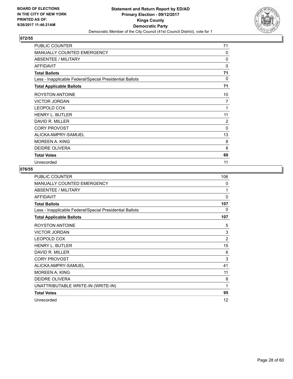

| <b>PUBLIC COUNTER</b>                                    | 71             |
|----------------------------------------------------------|----------------|
| <b>MANUALLY COUNTED EMERGENCY</b>                        | 0              |
| ABSENTEE / MILITARY                                      | $\mathbf{0}$   |
| <b>AFFIDAVIT</b>                                         | 0              |
| <b>Total Ballots</b>                                     | 71             |
| Less - Inapplicable Federal/Special Presidential Ballots | $\Omega$       |
| <b>Total Applicable Ballots</b>                          | 71             |
| <b>ROYSTON ANTOINE</b>                                   | 10             |
| <b>VICTOR JORDAN</b>                                     | 7              |
| <b>LEOPOLD COX</b>                                       | 1              |
| <b>HENRY L. BUTLER</b>                                   | 11             |
| DAVID R. MILLER                                          | $\overline{2}$ |
| <b>CORY PROVOST</b>                                      | 0              |
| ALICKA AMPRY-SAMUEL                                      | 13             |
| <b>MOREEN A. KING</b>                                    | 8              |
| <b>DEIDRE OLIVERA</b>                                    | 8              |
| <b>Total Votes</b>                                       | 60             |
| Unrecorded                                               | 11             |

| PUBLIC COUNTER                                           | 106            |
|----------------------------------------------------------|----------------|
| MANUALLY COUNTED EMERGENCY                               | 0              |
| ABSENTEE / MILITARY                                      | 1              |
| <b>AFFIDAVIT</b>                                         | 0              |
| <b>Total Ballots</b>                                     | 107            |
| Less - Inapplicable Federal/Special Presidential Ballots | 0              |
| <b>Total Applicable Ballots</b>                          | 107            |
| <b>ROYSTON ANTOINE</b>                                   | 5              |
| <b>VICTOR JORDAN</b>                                     | 3              |
| LEOPOLD COX                                              | $\overline{2}$ |
| <b>HENRY L. BUTLER</b>                                   | 15             |
| DAVID R. MILLER                                          | 6              |
| <b>CORY PROVOST</b>                                      | 3              |
| ALICKA AMPRY-SAMUEL                                      | 41             |
| <b>MOREEN A. KING</b>                                    | 11             |
| <b>DEIDRE OLIVERA</b>                                    | 8              |
| UNATTRIBUTABLE WRITE-IN (WRITE-IN)                       | 1              |
| <b>Total Votes</b>                                       | 95             |
| Unrecorded                                               | 12             |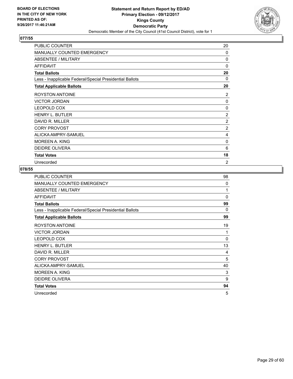

| <b>PUBLIC COUNTER</b>                                    | 20             |
|----------------------------------------------------------|----------------|
| <b>MANUALLY COUNTED EMERGENCY</b>                        | 0              |
| ABSENTEE / MILITARY                                      | $\mathbf{0}$   |
| <b>AFFIDAVIT</b>                                         | 0              |
| <b>Total Ballots</b>                                     | 20             |
| Less - Inapplicable Federal/Special Presidential Ballots | 0              |
| <b>Total Applicable Ballots</b>                          | 20             |
| <b>ROYSTON ANTOINE</b>                                   | 2              |
| <b>VICTOR JORDAN</b>                                     | 0              |
| <b>LEOPOLD COX</b>                                       | 0              |
| <b>HENRY L. BUTLER</b>                                   | $\overline{2}$ |
| DAVID R. MILLER                                          | 2              |
| <b>CORY PROVOST</b>                                      | $\overline{2}$ |
| ALICKA AMPRY-SAMUEL                                      | 4              |
| <b>MOREEN A. KING</b>                                    | 0              |
| <b>DEIDRE OLIVERA</b>                                    | 6              |
| <b>Total Votes</b>                                       | 18             |
| Unrecorded                                               | $\overline{2}$ |

| PUBLIC COUNTER                                           | 98          |
|----------------------------------------------------------|-------------|
| MANUALLY COUNTED EMERGENCY                               | 0           |
| ABSENTEE / MILITARY                                      | 1           |
| <b>AFFIDAVIT</b>                                         | $\Omega$    |
| <b>Total Ballots</b>                                     | 99          |
| Less - Inapplicable Federal/Special Presidential Ballots | 0           |
| <b>Total Applicable Ballots</b>                          | 99          |
| <b>ROYSTON ANTOINE</b>                                   | 19          |
| <b>VICTOR JORDAN</b>                                     | 1           |
| LEOPOLD COX                                              | $\mathbf 0$ |
| <b>HENRY L. BUTLER</b>                                   | 13          |
| DAVID R. MILLER                                          | 4           |
| <b>CORY PROVOST</b>                                      | 5           |
| ALICKA AMPRY-SAMUEL                                      | 40          |
| <b>MOREEN A. KING</b>                                    | 3           |
| <b>DEIDRE OLIVERA</b>                                    | 9           |
| <b>Total Votes</b>                                       | 94          |
| Unrecorded                                               | 5           |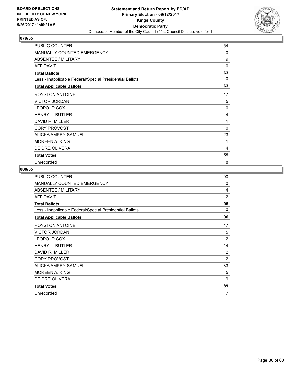

| <b>PUBLIC COUNTER</b>                                    | 54           |
|----------------------------------------------------------|--------------|
| MANUALLY COUNTED EMERGENCY                               | $\mathbf{0}$ |
| ABSENTEE / MILITARY                                      | 9            |
| AFFIDAVIT                                                | $\mathbf{0}$ |
| <b>Total Ballots</b>                                     | 63           |
| Less - Inapplicable Federal/Special Presidential Ballots | 0            |
| <b>Total Applicable Ballots</b>                          | 63           |
| <b>ROYSTON ANTOINE</b>                                   | 17           |
| <b>VICTOR JORDAN</b>                                     | 5            |
| <b>LEOPOLD COX</b>                                       | $\mathbf{0}$ |
| <b>HENRY L. BUTLER</b>                                   | 4            |
| DAVID R. MILLER                                          | 1            |
| <b>CORY PROVOST</b>                                      | $\Omega$     |
| ALICKA AMPRY-SAMUEL                                      | 23           |
| MOREEN A. KING                                           | 1            |
| <b>DEIDRE OLIVERA</b>                                    | 4            |
| <b>Total Votes</b>                                       | 55           |
| Unrecorded                                               | 8            |

| PUBLIC COUNTER                                           | 90             |
|----------------------------------------------------------|----------------|
| MANUALLY COUNTED EMERGENCY                               | $\Omega$       |
| ABSENTEE / MILITARY                                      | 4              |
| <b>AFFIDAVIT</b>                                         | $\overline{2}$ |
| <b>Total Ballots</b>                                     | 96             |
| Less - Inapplicable Federal/Special Presidential Ballots | $\Omega$       |
| <b>Total Applicable Ballots</b>                          | 96             |
| ROYSTON ANTOINE                                          | 17             |
| <b>VICTOR JORDAN</b>                                     | 5              |
| LEOPOLD COX                                              | $\overline{2}$ |
| <b>HENRY L. BUTLER</b>                                   | 14             |
| DAVID R. MILLER                                          | $\overline{2}$ |
| <b>CORY PROVOST</b>                                      | $\overline{2}$ |
| ALICKA AMPRY-SAMUEL                                      | 33             |
| <b>MOREEN A. KING</b>                                    | 5              |
| <b>DEIDRE OLIVERA</b>                                    | 9              |
| <b>Total Votes</b>                                       | 89             |
| Unrecorded                                               | 7              |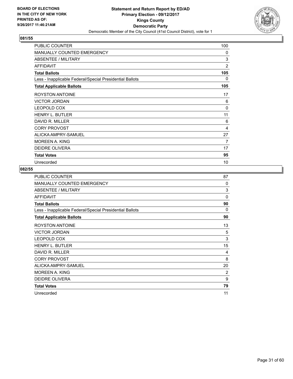

| <b>PUBLIC COUNTER</b>                                    | 100            |
|----------------------------------------------------------|----------------|
| <b>MANUALLY COUNTED EMERGENCY</b>                        | 0              |
| ABSENTEE / MILITARY                                      | 3              |
| <b>AFFIDAVIT</b>                                         | $\overline{2}$ |
| <b>Total Ballots</b>                                     | 105            |
| Less - Inapplicable Federal/Special Presidential Ballots | 0              |
| <b>Total Applicable Ballots</b>                          | 105            |
| <b>ROYSTON ANTOINE</b>                                   | 17             |
| <b>VICTOR JORDAN</b>                                     | 6              |
| <b>LEOPOLD COX</b>                                       | $\mathbf{0}$   |
| <b>HENRY L. BUTLER</b>                                   | 11             |
| DAVID R. MILLER                                          | 6              |
| <b>CORY PROVOST</b>                                      | 4              |
| ALICKA AMPRY-SAMUEL                                      | 27             |
| MOREEN A. KING                                           | 7              |
| <b>DEIDRE OLIVERA</b>                                    | 17             |
| <b>Total Votes</b>                                       | 95             |
| Unrecorded                                               | 10             |

| PUBLIC COUNTER                                           | 87       |
|----------------------------------------------------------|----------|
| <b>MANUALLY COUNTED EMERGENCY</b>                        | $\Omega$ |
| ABSENTEE / MILITARY                                      | 3        |
| <b>AFFIDAVIT</b>                                         | $\Omega$ |
| <b>Total Ballots</b>                                     | 90       |
| Less - Inapplicable Federal/Special Presidential Ballots | 0        |
| <b>Total Applicable Ballots</b>                          | 90       |
| <b>ROYSTON ANTOINE</b>                                   | 13       |
| <b>VICTOR JORDAN</b>                                     | 5        |
| LEOPOLD COX                                              | 3        |
| <b>HENRY L. BUTLER</b>                                   | 15       |
| DAVID R. MILLER                                          | 4        |
| <b>CORY PROVOST</b>                                      | 8        |
| ALICKA AMPRY-SAMUEL                                      | 20       |
| <b>MOREEN A. KING</b>                                    | 2        |
| <b>DEIDRE OLIVERA</b>                                    | 9        |
| <b>Total Votes</b>                                       | 79       |
| Unrecorded                                               | 11       |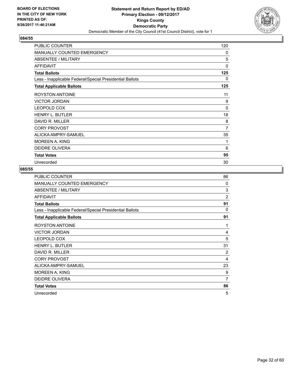

| <b>PUBLIC COUNTER</b>                                    | 120      |
|----------------------------------------------------------|----------|
| MANUALLY COUNTED EMERGENCY                               | 0        |
| <b>ABSENTEE / MILITARY</b>                               | 5        |
| <b>AFFIDAVIT</b>                                         | 0        |
| <b>Total Ballots</b>                                     | 125      |
| Less - Inapplicable Federal/Special Presidential Ballots | 0        |
| <b>Total Applicable Ballots</b>                          | 125      |
| <b>ROYSTON ANTOINE</b>                                   | 11       |
| <b>VICTOR JORDAN</b>                                     | 9        |
| <b>LEOPOLD COX</b>                                       | $\Omega$ |
| <b>HENRY L. BUTLER</b>                                   | 18       |
| DAVID R. MILLER                                          | 8        |
| <b>CORY PROVOST</b>                                      | 7        |
| ALICKA AMPRY-SAMUEL                                      | 35       |
| MOREEN A. KING                                           | 1        |
| <b>DEIDRE OLIVERA</b>                                    | 6        |
| <b>Total Votes</b>                                       | 95       |
| Unrecorded                                               | 30       |

| PUBLIC COUNTER                                           | 86             |
|----------------------------------------------------------|----------------|
| MANUALLY COUNTED EMERGENCY                               | $\Omega$       |
| ABSENTEE / MILITARY                                      | 3              |
| <b>AFFIDAVIT</b>                                         | $\overline{2}$ |
| <b>Total Ballots</b>                                     | 91             |
| Less - Inapplicable Federal/Special Presidential Ballots | $\Omega$       |
| <b>Total Applicable Ballots</b>                          | 91             |
| ROYSTON ANTOINE                                          | 1              |
| <b>VICTOR JORDAN</b>                                     | 4              |
| LEOPOLD COX                                              | 5              |
| <b>HENRY L. BUTLER</b>                                   | 31             |
| DAVID R. MILLER                                          | $\overline{2}$ |
| <b>CORY PROVOST</b>                                      | 4              |
| ALICKA AMPRY-SAMUEL                                      | 23             |
| MOREEN A. KING                                           | 9              |
| DEIDRE OLIVERA                                           | 7              |
| <b>Total Votes</b>                                       | 86             |
| Unrecorded                                               | 5              |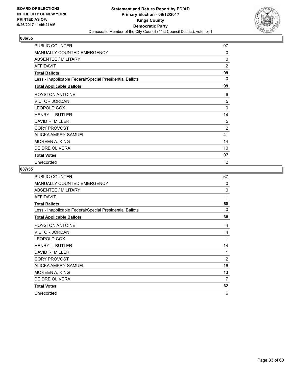

| <b>PUBLIC COUNTER</b>                                    | 97             |
|----------------------------------------------------------|----------------|
| <b>MANUALLY COUNTED EMERGENCY</b>                        | $\Omega$       |
| <b>ABSENTEE / MILITARY</b>                               | $\Omega$       |
| <b>AFFIDAVIT</b>                                         | 2              |
| <b>Total Ballots</b>                                     | 99             |
| Less - Inapplicable Federal/Special Presidential Ballots | 0              |
| <b>Total Applicable Ballots</b>                          | 99             |
| <b>ROYSTON ANTOINE</b>                                   | 6              |
| <b>VICTOR JORDAN</b>                                     | 5              |
| <b>LEOPOLD COX</b>                                       | $\Omega$       |
| <b>HENRY L. BUTLER</b>                                   | 14             |
| DAVID R. MILLER                                          | 5              |
| <b>CORY PROVOST</b>                                      | $\overline{2}$ |
| ALICKA AMPRY-SAMUEL                                      | 41             |
| MOREEN A. KING                                           | 14             |
| <b>DEIDRE OLIVERA</b>                                    | 10             |
| <b>Total Votes</b>                                       | 97             |
| Unrecorded                                               | $\overline{2}$ |

| <b>PUBLIC COUNTER</b>                                    | 67             |
|----------------------------------------------------------|----------------|
| MANUALLY COUNTED EMERGENCY                               | $\Omega$       |
| ABSENTEE / MILITARY                                      | $\Omega$       |
| <b>AFFIDAVIT</b>                                         | 1              |
| <b>Total Ballots</b>                                     | 68             |
| Less - Inapplicable Federal/Special Presidential Ballots | $\Omega$       |
| <b>Total Applicable Ballots</b>                          | 68             |
| ROYSTON ANTOINE                                          | 4              |
| <b>VICTOR JORDAN</b>                                     | 4              |
| LEOPOLD COX                                              | 1              |
| <b>HENRY L. BUTLER</b>                                   | 14             |
| DAVID R. MILLER                                          | 1              |
| <b>CORY PROVOST</b>                                      | $\overline{2}$ |
| ALICKA AMPRY-SAMUEL                                      | 16             |
| <b>MOREEN A. KING</b>                                    | 13             |
| DEIDRE OLIVERA                                           | 7              |
| <b>Total Votes</b>                                       | 62             |
| Unrecorded                                               | 6              |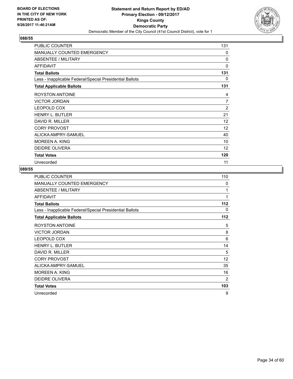

| PUBLIC COUNTER                                           | 131            |
|----------------------------------------------------------|----------------|
| MANUALLY COUNTED EMERGENCY                               | 0              |
| <b>ABSENTEE / MILITARY</b>                               | 0              |
| <b>AFFIDAVIT</b>                                         | 0              |
| <b>Total Ballots</b>                                     | 131            |
| Less - Inapplicable Federal/Special Presidential Ballots | 0              |
| <b>Total Applicable Ballots</b>                          | 131            |
| <b>ROYSTON ANTOINE</b>                                   | 4              |
| <b>VICTOR JORDAN</b>                                     | $\overline{7}$ |
| <b>LEOPOLD COX</b>                                       | 2              |
| <b>HENRY L. BUTLER</b>                                   | 21             |
| DAVID R. MILLER                                          | 12             |
| <b>CORY PROVOST</b>                                      | 12             |
| ALICKA AMPRY-SAMUEL                                      | 40             |
| MOREEN A. KING                                           | 10             |
| <b>DEIDRE OLIVERA</b>                                    | 12             |
| <b>Total Votes</b>                                       | 120            |
| Unrecorded                                               | 11             |

| PUBLIC COUNTER                                           | 110      |
|----------------------------------------------------------|----------|
| MANUALLY COUNTED EMERGENCY                               | $\Omega$ |
| <b>ABSENTEE / MILITARY</b>                               | 1        |
| <b>AFFIDAVIT</b>                                         | 1        |
| <b>Total Ballots</b>                                     | 112      |
| Less - Inapplicable Federal/Special Presidential Ballots | 0        |
| <b>Total Applicable Ballots</b>                          | 112      |
| <b>ROYSTON ANTOINE</b>                                   | 5        |
| <b>VICTOR JORDAN</b>                                     | 8        |
| <b>LEOPOLD COX</b>                                       | 6        |
| <b>HENRY L. BUTLER</b>                                   | 14       |
| DAVID R. MILLER                                          | 5        |
| <b>CORY PROVOST</b>                                      | 12       |
| ALICKA AMPRY-SAMUEL                                      | 35       |
| <b>MOREEN A. KING</b>                                    | 16       |
| <b>DEIDRE OLIVERA</b>                                    | 2        |
| <b>Total Votes</b>                                       | 103      |
| Unrecorded                                               | 9        |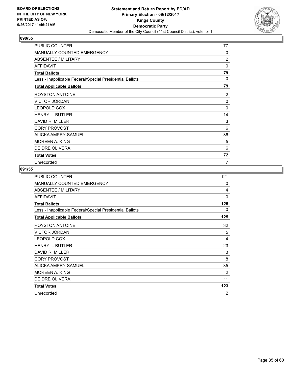

| <b>PUBLIC COUNTER</b>                                    | 77             |
|----------------------------------------------------------|----------------|
| <b>MANUALLY COUNTED EMERGENCY</b>                        | 0              |
| ABSENTEE / MILITARY                                      | $\overline{2}$ |
| <b>AFFIDAVIT</b>                                         | 0              |
| <b>Total Ballots</b>                                     | 79             |
| Less - Inapplicable Federal/Special Presidential Ballots | 0              |
| <b>Total Applicable Ballots</b>                          | 79             |
| <b>ROYSTON ANTOINE</b>                                   | 2              |
| <b>VICTOR JORDAN</b>                                     | 0              |
| <b>LEOPOLD COX</b>                                       | $\mathbf{0}$   |
| <b>HENRY L. BUTLER</b>                                   | 14             |
| DAVID R. MILLER                                          | 3              |
| <b>CORY PROVOST</b>                                      | 6              |
| ALICKA AMPRY-SAMUEL                                      | 36             |
| <b>MOREEN A. KING</b>                                    | 5              |
| <b>DEIDRE OLIVERA</b>                                    | 6              |
| <b>Total Votes</b>                                       | 72             |
| Unrecorded                                               | 7              |

| PUBLIC COUNTER                                           | 121            |
|----------------------------------------------------------|----------------|
| MANUALLY COUNTED EMERGENCY                               | 0              |
| <b>ABSENTEE / MILITARY</b>                               | 4              |
| <b>AFFIDAVIT</b>                                         | $\mathbf 0$    |
| <b>Total Ballots</b>                                     | 125            |
| Less - Inapplicable Federal/Special Presidential Ballots | 0              |
| <b>Total Applicable Ballots</b>                          | 125            |
| <b>ROYSTON ANTOINE</b>                                   | 32             |
| <b>VICTOR JORDAN</b>                                     | 5              |
| LEOPOLD COX                                              | 4              |
| <b>HENRY L. BUTLER</b>                                   | 23             |
| DAVID R. MILLER                                          | 3              |
| <b>CORY PROVOST</b>                                      | 8              |
| ALICKA AMPRY-SAMUEL                                      | 35             |
| <b>MOREEN A. KING</b>                                    | $\overline{2}$ |
| <b>DEIDRE OLIVERA</b>                                    | 11             |
| <b>Total Votes</b>                                       | 123            |
| Unrecorded                                               | 2              |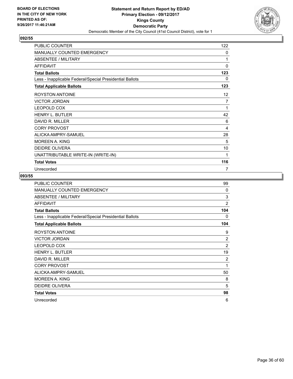

| PUBLIC COUNTER                                           | 122             |
|----------------------------------------------------------|-----------------|
| <b>MANUALLY COUNTED EMERGENCY</b>                        | 0               |
| ABSENTEE / MILITARY                                      | 1               |
| <b>AFFIDAVIT</b>                                         | 0               |
| <b>Total Ballots</b>                                     | 123             |
| Less - Inapplicable Federal/Special Presidential Ballots | 0               |
| <b>Total Applicable Ballots</b>                          | 123             |
| <b>ROYSTON ANTOINE</b>                                   | 12 <sup>°</sup> |
| <b>VICTOR JORDAN</b>                                     | 7               |
| <b>LEOPOLD COX</b>                                       | 1               |
| <b>HENRY L. BUTLER</b>                                   | 42              |
| DAVID R. MILLER                                          | 6               |
| <b>CORY PROVOST</b>                                      | 4               |
| ALICKA AMPRY-SAMUEL                                      | 28              |
| <b>MOREEN A. KING</b>                                    | 5               |
| <b>DEIDRE OLIVERA</b>                                    | 10              |
| UNATTRIBUTABLE WRITE-IN (WRITE-IN)                       | 1               |
| <b>Total Votes</b>                                       | 116             |
| Unrecorded                                               | 7               |

| <b>PUBLIC COUNTER</b>                                    | 99             |
|----------------------------------------------------------|----------------|
| <b>MANUALLY COUNTED EMERGENCY</b>                        | $\Omega$       |
| ABSENTEE / MILITARY                                      | 3              |
| <b>AFFIDAVIT</b>                                         | $\overline{2}$ |
| <b>Total Ballots</b>                                     | 104            |
| Less - Inapplicable Federal/Special Presidential Ballots | 0              |
| <b>Total Applicable Ballots</b>                          | 104            |
| ROYSTON ANTOINE                                          | 9              |
| <b>VICTOR JORDAN</b>                                     | $\overline{2}$ |
| LEOPOLD COX                                              | $\overline{2}$ |
| <b>HENRY L. BUTLER</b>                                   | 19             |
| DAVID R. MILLER                                          | 2              |
| <b>CORY PROVOST</b>                                      | 1              |
| ALICKA AMPRY-SAMUEL                                      | 50             |
| <b>MOREEN A. KING</b>                                    | 8              |
| <b>DEIDRE OLIVERA</b>                                    | 5              |
| <b>Total Votes</b>                                       | 98             |
| Unrecorded                                               | 6              |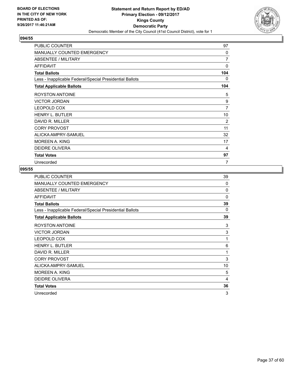

| <b>PUBLIC COUNTER</b>                                    | 97           |
|----------------------------------------------------------|--------------|
| MANUALLY COUNTED EMERGENCY                               | $\Omega$     |
| ABSENTEE / MILITARY                                      | 7            |
| <b>AFFIDAVIT</b>                                         | $\mathbf{0}$ |
| <b>Total Ballots</b>                                     | 104          |
| Less - Inapplicable Federal/Special Presidential Ballots | 0            |
| <b>Total Applicable Ballots</b>                          | 104          |
| <b>ROYSTON ANTOINE</b>                                   | 5            |
| <b>VICTOR JORDAN</b>                                     | 9            |
| <b>LEOPOLD COX</b>                                       | 7            |
| HENRY L. BUTLER                                          | 10           |
| DAVID R. MILLER                                          | 2            |
| <b>CORY PROVOST</b>                                      | 11           |
| ALICKA AMPRY-SAMUEL                                      | 32           |
| <b>MOREEN A. KING</b>                                    | 17           |
| <b>DEIDRE OLIVERA</b>                                    | 4            |
| <b>Total Votes</b>                                       | 97           |
| Unrecorded                                               | 7            |

| <b>PUBLIC COUNTER</b>                                    | 39       |
|----------------------------------------------------------|----------|
| <b>MANUALLY COUNTED EMERGENCY</b>                        | $\Omega$ |
| ABSENTEE / MILITARY                                      | 0        |
| <b>AFFIDAVIT</b>                                         | $\Omega$ |
| <b>Total Ballots</b>                                     | 39       |
| Less - Inapplicable Federal/Special Presidential Ballots | $\Omega$ |
| <b>Total Applicable Ballots</b>                          | 39       |
| <b>ROYSTON ANTOINE</b>                                   | 3        |
| <b>VICTOR JORDAN</b>                                     | 3        |
| LEOPOLD COX                                              | 1        |
| <b>HENRY L. BUTLER</b>                                   | 6        |
| DAVID R. MILLER                                          | 1        |
| <b>CORY PROVOST</b>                                      | 3        |
| ALICKA AMPRY-SAMUEL                                      | 10       |
| <b>MOREEN A. KING</b>                                    | 5        |
| <b>DEIDRE OLIVERA</b>                                    | 4        |
| <b>Total Votes</b>                                       | 36       |
| Unrecorded                                               | 3        |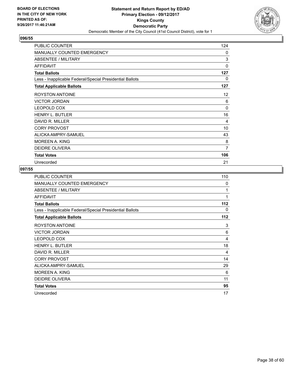

| <b>PUBLIC COUNTER</b>                                    | 124          |
|----------------------------------------------------------|--------------|
| <b>MANUALLY COUNTED EMERGENCY</b>                        | 0            |
| <b>ABSENTEE / MILITARY</b>                               | 3            |
| <b>AFFIDAVIT</b>                                         | $\mathbf{0}$ |
| <b>Total Ballots</b>                                     | 127          |
| Less - Inapplicable Federal/Special Presidential Ballots | 0            |
| <b>Total Applicable Ballots</b>                          | 127          |
| <b>ROYSTON ANTOINE</b>                                   | 12           |
| <b>VICTOR JORDAN</b>                                     | 6            |
| <b>LEOPOLD COX</b>                                       | $\Omega$     |
| <b>HENRY L. BUTLER</b>                                   | 16           |
| DAVID R. MILLER                                          | 4            |
| <b>CORY PROVOST</b>                                      | 10           |
| ALICKA AMPRY-SAMUEL                                      | 43           |
| MOREEN A. KING                                           | 8            |
| <b>DEIDRE OLIVERA</b>                                    | 7            |
| <b>Total Votes</b>                                       | 106          |
| Unrecorded                                               | 21           |

| PUBLIC COUNTER                                           | 110 |
|----------------------------------------------------------|-----|
| MANUALLY COUNTED EMERGENCY                               | 0   |
| <b>ABSENTEE / MILITARY</b>                               | 1   |
| <b>AFFIDAVIT</b>                                         | 1   |
| <b>Total Ballots</b>                                     | 112 |
| Less - Inapplicable Federal/Special Presidential Ballots | 0   |
| <b>Total Applicable Ballots</b>                          | 112 |
| ROYSTON ANTOINE                                          | 3   |
| <b>VICTOR JORDAN</b>                                     | 6   |
| <b>LEOPOLD COX</b>                                       | 4   |
| <b>HENRY L. BUTLER</b>                                   | 18  |
| DAVID R. MILLER                                          | 4   |
| <b>CORY PROVOST</b>                                      | 14  |
| ALICKA AMPRY-SAMUEL                                      | 29  |
| <b>MOREEN A. KING</b>                                    | 6   |
| <b>DEIDRE OLIVERA</b>                                    | 11  |
| <b>Total Votes</b>                                       | 95  |
| Unrecorded                                               | 17  |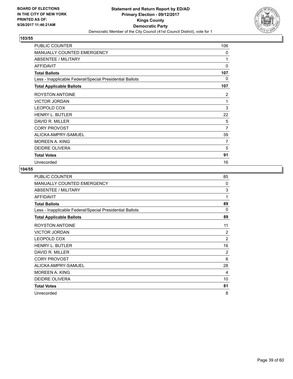

| PUBLIC COUNTER                                           | 106 |
|----------------------------------------------------------|-----|
| MANUALLY COUNTED EMERGENCY                               | 0   |
| <b>ABSENTEE / MILITARY</b>                               | 1   |
| <b>AFFIDAVIT</b>                                         | 0   |
| <b>Total Ballots</b>                                     | 107 |
| Less - Inapplicable Federal/Special Presidential Ballots | 0   |
| <b>Total Applicable Ballots</b>                          | 107 |
| <b>ROYSTON ANTOINE</b>                                   | 2   |
| <b>VICTOR JORDAN</b>                                     | 1   |
| <b>LEOPOLD COX</b>                                       | 3   |
| <b>HENRY L. BUTLER</b>                                   | 22  |
| DAVID R. MILLER                                          | 5   |
| <b>CORY PROVOST</b>                                      | 7   |
| ALICKA AMPRY-SAMUEL                                      | 39  |
| MOREEN A. KING                                           | 7   |
| <b>DEIDRE OLIVERA</b>                                    | 5   |
| <b>Total Votes</b>                                       | 91  |
| Unrecorded                                               | 16  |

| PUBLIC COUNTER                                           | 85             |
|----------------------------------------------------------|----------------|
| MANUALLY COUNTED EMERGENCY                               | $\Omega$       |
| ABSENTEE / MILITARY                                      | 3              |
| <b>AFFIDAVIT</b>                                         | 1              |
| <b>Total Ballots</b>                                     | 89             |
| Less - Inapplicable Federal/Special Presidential Ballots | $\Omega$       |
| <b>Total Applicable Ballots</b>                          | 89             |
| ROYSTON ANTOINE                                          | 11             |
| <b>VICTOR JORDAN</b>                                     | 2              |
| <b>LEOPOLD COX</b>                                       | $\overline{2}$ |
| <b>HENRY L. BUTLER</b>                                   | 16             |
| DAVID R. MILLER                                          | $\overline{2}$ |
| <b>CORY PROVOST</b>                                      | 6              |
| ALICKA AMPRY-SAMUEL                                      | 28             |
| MOREEN A. KING                                           | 4              |
| DEIDRE OLIVERA                                           | 10             |
| <b>Total Votes</b>                                       | 81             |
| Unrecorded                                               | 8              |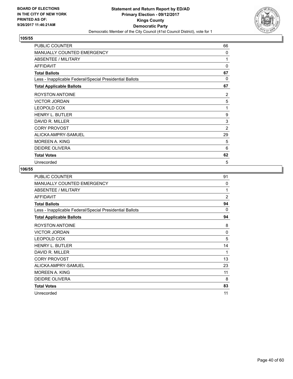

| PUBLIC COUNTER                                           | 66           |
|----------------------------------------------------------|--------------|
| MANUALLY COUNTED EMERGENCY                               | $\mathbf{0}$ |
| <b>ABSENTEE / MILITARY</b>                               | 1            |
| <b>AFFIDAVIT</b>                                         | 0            |
| <b>Total Ballots</b>                                     | 67           |
| Less - Inapplicable Federal/Special Presidential Ballots | $\Omega$     |
| <b>Total Applicable Ballots</b>                          | 67           |
| <b>ROYSTON ANTOINE</b>                                   | 2            |
| <b>VICTOR JORDAN</b>                                     | 5            |
| <b>LEOPOLD COX</b>                                       | 1            |
| <b>HENRY L. BUTLER</b>                                   | 9            |
| DAVID R. MILLER                                          | 3            |
| <b>CORY PROVOST</b>                                      | 2            |
| ALICKA AMPRY-SAMUEL                                      | 29           |
| MOREEN A. KING                                           | 5            |
| <b>DEIDRE OLIVERA</b>                                    | 6            |
| <b>Total Votes</b>                                       | 62           |
| Unrecorded                                               | 5            |

| PUBLIC COUNTER                                           | 91             |
|----------------------------------------------------------|----------------|
| <b>MANUALLY COUNTED EMERGENCY</b>                        | $\Omega$       |
| ABSENTEE / MILITARY                                      | 1              |
| <b>AFFIDAVIT</b>                                         | $\overline{2}$ |
| <b>Total Ballots</b>                                     | 94             |
| Less - Inapplicable Federal/Special Presidential Ballots | $\Omega$       |
| <b>Total Applicable Ballots</b>                          | 94             |
| <b>ROYSTON ANTOINE</b>                                   | 8              |
| <b>VICTOR JORDAN</b>                                     | $\Omega$       |
| LEOPOLD COX                                              | 5              |
| <b>HENRY L. BUTLER</b>                                   | 14             |
| DAVID R. MILLER                                          | 1              |
| <b>CORY PROVOST</b>                                      | 13             |
| ALICKA AMPRY-SAMUEL                                      | 23             |
| <b>MOREEN A. KING</b>                                    | 11             |
| <b>DEIDRE OLIVERA</b>                                    | 8              |
| <b>Total Votes</b>                                       | 83             |
| Unrecorded                                               | 11             |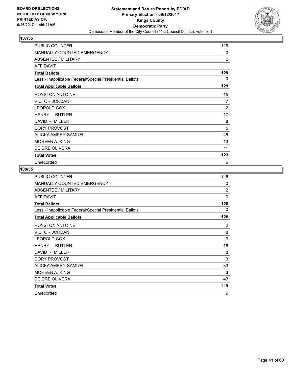

| PUBLIC COUNTER                                           | 126            |
|----------------------------------------------------------|----------------|
| MANUALLY COUNTED EMERGENCY                               | 0              |
| <b>ABSENTEE / MILITARY</b>                               | $\overline{2}$ |
| <b>AFFIDAVIT</b>                                         | 1              |
| <b>Total Ballots</b>                                     | 129            |
| Less - Inapplicable Federal/Special Presidential Ballots | 0              |
| <b>Total Applicable Ballots</b>                          | 129            |
| <b>ROYSTON ANTOINE</b>                                   | 15             |
| <b>VICTOR JORDAN</b>                                     | 7              |
| <b>LEOPOLD COX</b>                                       | 2              |
| <b>HENRY L. BUTLER</b>                                   | 17             |
| DAVID R. MILLER                                          | 8              |
| <b>CORY PROVOST</b>                                      | 5              |
| ALICKA AMPRY-SAMUEL                                      | 45             |
| MOREEN A. KING                                           | 13             |
| <b>DEIDRE OLIVERA</b>                                    | 11             |
| <b>Total Votes</b>                                       | 123            |
| Unrecorded                                               | 6              |

| PUBLIC COUNTER                                           | 126            |
|----------------------------------------------------------|----------------|
| MANUALLY COUNTED EMERGENCY                               | 0              |
| ABSENTEE / MILITARY                                      | $\overline{2}$ |
| <b>AFFIDAVIT</b>                                         | $\Omega$       |
| <b>Total Ballots</b>                                     | 128            |
| Less - Inapplicable Federal/Special Presidential Ballots | 0              |
| <b>Total Applicable Ballots</b>                          | 128            |
| ROYSTON ANTOINE                                          | 2              |
| <b>VICTOR JORDAN</b>                                     | 8              |
| LEOPOLD COX                                              | 3              |
| <b>HENRY L. BUTLER</b>                                   | 16             |
| DAVID R. MILLER                                          | 8              |
| <b>CORY PROVOST</b>                                      | 3              |
| ALICKA AMPRY-SAMUEL                                      | 33             |
| <b>MOREEN A. KING</b>                                    | 3              |
| <b>DEIDRE OLIVERA</b>                                    | 43             |
| <b>Total Votes</b>                                       | 119            |
| Unrecorded                                               | 9              |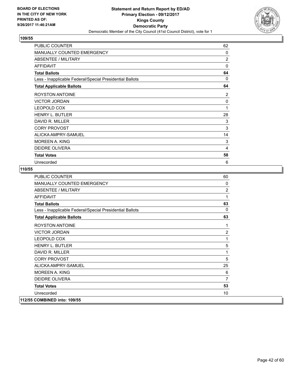

| PUBLIC COUNTER                                           | 62             |
|----------------------------------------------------------|----------------|
| MANUALLY COUNTED EMERGENCY                               | 0              |
| <b>ABSENTEE / MILITARY</b>                               | $\overline{2}$ |
| <b>AFFIDAVIT</b>                                         | 0              |
| <b>Total Ballots</b>                                     | 64             |
| Less - Inapplicable Federal/Special Presidential Ballots | 0              |
| <b>Total Applicable Ballots</b>                          | 64             |
| <b>ROYSTON ANTOINE</b>                                   | 2              |
| <b>VICTOR JORDAN</b>                                     | $\Omega$       |
| <b>LEOPOLD COX</b>                                       | 1              |
| <b>HENRY L. BUTLER</b>                                   | 28             |
| DAVID R. MILLER                                          | 3              |
| <b>CORY PROVOST</b>                                      | 3              |
| ALICKA AMPRY-SAMUEL                                      | 14             |
| MOREEN A. KING                                           | 3              |
| <b>DEIDRE OLIVERA</b>                                    | 4              |
| <b>Total Votes</b>                                       | 58             |
| Unrecorded                                               | 6              |

| <b>PUBLIC COUNTER</b>                                    | 60             |
|----------------------------------------------------------|----------------|
| MANUALLY COUNTED EMERGENCY                               | 0              |
| ABSENTEE / MILITARY                                      | 2              |
| <b>AFFIDAVIT</b>                                         | 1              |
| <b>Total Ballots</b>                                     | 63             |
| Less - Inapplicable Federal/Special Presidential Ballots | $\Omega$       |
| <b>Total Applicable Ballots</b>                          | 63             |
| <b>ROYSTON ANTOINE</b>                                   | 1              |
| <b>VICTOR JORDAN</b>                                     | $\overline{2}$ |
| <b>LEOPOLD COX</b>                                       | 1              |
| <b>HENRY L. BUTLER</b>                                   | 5              |
| DAVID R. MILLER                                          | 1              |
| <b>CORY PROVOST</b>                                      | 5              |
| ALICKA AMPRY-SAMUEL                                      | 25             |
| <b>MOREEN A. KING</b>                                    | 6              |
| <b>DEIDRE OLIVERA</b>                                    | $\overline{7}$ |
| <b>Total Votes</b>                                       | 53             |
| Unrecorded                                               | 10             |
| 112/55 COMBINED into: 109/55                             |                |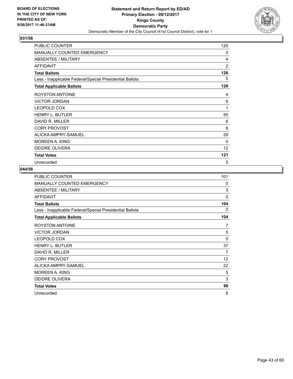

| PUBLIC COUNTER                                           | 120 |
|----------------------------------------------------------|-----|
| <b>MANUALLY COUNTED EMERGENCY</b>                        | 0   |
| <b>ABSENTEE / MILITARY</b>                               | 4   |
| <b>AFFIDAVIT</b>                                         | 2   |
| <b>Total Ballots</b>                                     | 126 |
| Less - Inapplicable Federal/Special Presidential Ballots | 0   |
| <b>Total Applicable Ballots</b>                          | 126 |
| <b>ROYSTON ANTOINE</b>                                   | 4   |
| <b>VICTOR JORDAN</b>                                     | 6   |
| <b>LEOPOLD COX</b>                                       | 1   |
| <b>HENRY L. BUTLER</b>                                   | 55  |
| DAVID R. MILLER                                          | 6   |
| <b>CORY PROVOST</b>                                      | 8   |
| ALICKA AMPRY-SAMUEL                                      | 29  |
| MOREEN A. KING                                           | 0   |
| <b>DEIDRE OLIVERA</b>                                    | 12  |
| <b>Total Votes</b>                                       | 121 |
| Unrecorded                                               | 5   |

| PUBLIC COUNTER                                           | 101          |
|----------------------------------------------------------|--------------|
| <b>MANUALLY COUNTED EMERGENCY</b>                        | 0            |
| ABSENTEE / MILITARY                                      | 3            |
| <b>AFFIDAVIT</b>                                         | $\mathbf{0}$ |
| <b>Total Ballots</b>                                     | 104          |
| Less - Inapplicable Federal/Special Presidential Ballots | 0            |
| <b>Total Applicable Ballots</b>                          | 104          |
| <b>ROYSTON ANTOINE</b>                                   | 7            |
| <b>VICTOR JORDAN</b>                                     | 5            |
| LEOPOLD COX                                              | $\mathbf{0}$ |
| HENRY L. BUTLER                                          | 37           |
| DAVID R. MILLER                                          | 7            |
| <b>CORY PROVOST</b>                                      | 12           |
| ALICKA AMPRY-SAMUEL                                      | 22           |
| MOREEN A. KING                                           | 5            |
| DEIDRE OLIVERA                                           | 3            |
| <b>Total Votes</b>                                       | 98           |
| Unrecorded                                               | 6            |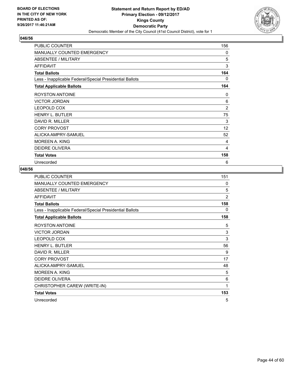

| PUBLIC COUNTER                                           | 156 |
|----------------------------------------------------------|-----|
| MANUALLY COUNTED EMERGENCY                               | 0   |
| <b>ABSENTEE / MILITARY</b>                               | 5   |
| <b>AFFIDAVIT</b>                                         | 3   |
| <b>Total Ballots</b>                                     | 164 |
| Less - Inapplicable Federal/Special Presidential Ballots | 0   |
| <b>Total Applicable Ballots</b>                          | 164 |
| <b>ROYSTON ANTOINE</b>                                   | 0   |
| <b>VICTOR JORDAN</b>                                     | 6   |
| <b>LEOPOLD COX</b>                                       | 2   |
| <b>HENRY L. BUTLER</b>                                   | 75  |
| DAVID R. MILLER                                          | 3   |
| <b>CORY PROVOST</b>                                      | 12  |
| ALICKA AMPRY-SAMUEL                                      | 52  |
| MOREEN A. KING                                           | 4   |
| <b>DEIDRE OLIVERA</b>                                    | 4   |
| <b>Total Votes</b>                                       | 158 |
| Unrecorded                                               | 6   |

| PUBLIC COUNTER                                           | 151            |
|----------------------------------------------------------|----------------|
| MANUALLY COUNTED EMERGENCY                               | 0              |
| ABSENTEE / MILITARY                                      | 5              |
| <b>AFFIDAVIT</b>                                         | $\overline{2}$ |
| <b>Total Ballots</b>                                     | 158            |
| Less - Inapplicable Federal/Special Presidential Ballots | 0              |
| <b>Total Applicable Ballots</b>                          | 158            |
| <b>ROYSTON ANTOINE</b>                                   | 5              |
| <b>VICTOR JORDAN</b>                                     | 3              |
| LEOPOLD COX                                              | 3              |
| <b>HENRY L. BUTLER</b>                                   | 56             |
| DAVID R. MILLER                                          | 9              |
| <b>CORY PROVOST</b>                                      | 17             |
| ALICKA AMPRY-SAMUEL                                      | 48             |
| <b>MOREEN A. KING</b>                                    | 5              |
| DEIDRE OLIVERA                                           | 6              |
| CHRISTOPHER CAREW (WRITE-IN)                             | 1              |
| <b>Total Votes</b>                                       | 153            |
| Unrecorded                                               | 5              |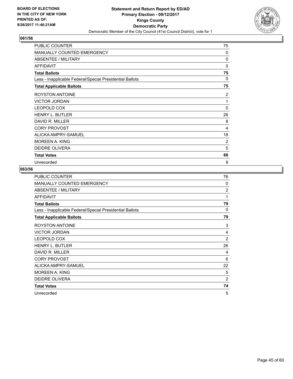

| PUBLIC COUNTER                                           | 75           |
|----------------------------------------------------------|--------------|
| <b>MANUALLY COUNTED EMERGENCY</b>                        | $\Omega$     |
| <b>ABSENTEE / MILITARY</b>                               | $\Omega$     |
| <b>AFFIDAVIT</b>                                         | $\Omega$     |
| <b>Total Ballots</b>                                     | 75           |
| Less - Inapplicable Federal/Special Presidential Ballots | 0            |
| <b>Total Applicable Ballots</b>                          | 75           |
| <b>ROYSTON ANTOINE</b>                                   | 2            |
| <b>VICTOR JORDAN</b>                                     | 1            |
| <b>LEOPOLD COX</b>                                       | $\mathbf{0}$ |
| <b>HENRY L. BUTLER</b>                                   | 26           |
| DAVID R. MILLER                                          | 8            |
| <b>CORY PROVOST</b>                                      | 4            |
| ALICKA AMPRY-SAMUEL                                      | 18           |
| <b>MOREEN A. KING</b>                                    | 2            |
| <b>DEIDRE OLIVERA</b>                                    | 5            |
| <b>Total Votes</b>                                       | 66           |
| Unrecorded                                               | 9            |

| PUBLIC COUNTER                                           | 76             |
|----------------------------------------------------------|----------------|
| MANUALLY COUNTED EMERGENCY                               | 0              |
| ABSENTEE / MILITARY                                      | $\overline{2}$ |
| <b>AFFIDAVIT</b>                                         | 1              |
| <b>Total Ballots</b>                                     | 79             |
| Less - Inapplicable Federal/Special Presidential Ballots | 0              |
| <b>Total Applicable Ballots</b>                          | 79             |
| <b>ROYSTON ANTOINE</b>                                   | 3              |
| <b>VICTOR JORDAN</b>                                     | 4              |
| LEOPOLD COX                                              | $\overline{2}$ |
| <b>HENRY L. BUTLER</b>                                   | 26             |
| DAVID R. MILLER                                          | 4              |
| <b>CORY PROVOST</b>                                      | 6              |
| ALICKA AMPRY-SAMUEL                                      | 22             |
| <b>MOREEN A. KING</b>                                    | 5              |
| <b>DEIDRE OLIVERA</b>                                    | $\overline{2}$ |
| <b>Total Votes</b>                                       | 74             |
| Unrecorded                                               | 5              |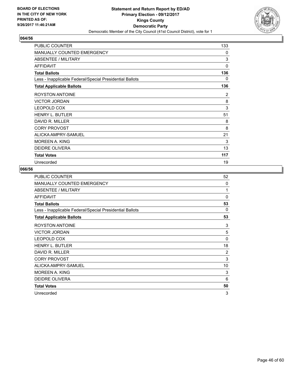

| PUBLIC COUNTER                                           | 133 |
|----------------------------------------------------------|-----|
| MANUALLY COUNTED EMERGENCY                               | 0   |
| <b>ABSENTEE / MILITARY</b>                               | 3   |
| <b>AFFIDAVIT</b>                                         | 0   |
| <b>Total Ballots</b>                                     | 136 |
| Less - Inapplicable Federal/Special Presidential Ballots | 0   |
| <b>Total Applicable Ballots</b>                          | 136 |
| ROYSTON ANTOINE                                          | 2   |
| <b>VICTOR JORDAN</b>                                     | 8   |
| LEOPOLD COX                                              | 3   |
| <b>HENRY L. BUTLER</b>                                   | 51  |
| DAVID R. MILLER                                          | 8   |
| <b>CORY PROVOST</b>                                      | 8   |
| ALICKA AMPRY-SAMUEL                                      | 21  |
| MOREEN A. KING                                           | 3   |
| <b>DEIDRE OLIVERA</b>                                    | 13  |
| <b>Total Votes</b>                                       | 117 |
| Unrecorded                                               | 19  |

| PUBLIC COUNTER                                           | 52             |
|----------------------------------------------------------|----------------|
| MANUALLY COUNTED EMERGENCY                               | 0              |
| ABSENTEE / MILITARY                                      | 1              |
| <b>AFFIDAVIT</b>                                         | $\Omega$       |
| <b>Total Ballots</b>                                     | 53             |
| Less - Inapplicable Federal/Special Presidential Ballots | $\Omega$       |
| <b>Total Applicable Ballots</b>                          | 53             |
| ROYSTON ANTOINE                                          | 3              |
| <b>VICTOR JORDAN</b>                                     | 5              |
| LEOPOLD COX                                              | 0              |
| <b>HENRY L. BUTLER</b>                                   | 18             |
| DAVID R. MILLER                                          | $\overline{2}$ |
| <b>CORY PROVOST</b>                                      | 3              |
| ALICKA AMPRY-SAMUEL                                      | 10             |
| <b>MOREEN A. KING</b>                                    | 3              |
| <b>DEIDRE OLIVERA</b>                                    | 6              |
| <b>Total Votes</b>                                       | 50             |
| Unrecorded                                               | 3              |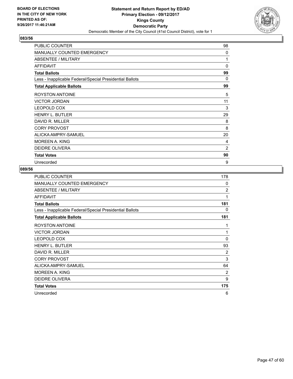

| <b>PUBLIC COUNTER</b>                                    | 98             |
|----------------------------------------------------------|----------------|
| <b>MANUALLY COUNTED EMERGENCY</b>                        | 0              |
| ABSENTEE / MILITARY                                      | 1              |
| <b>AFFIDAVIT</b>                                         | $\mathbf{0}$   |
| <b>Total Ballots</b>                                     | 99             |
| Less - Inapplicable Federal/Special Presidential Ballots | 0              |
| <b>Total Applicable Ballots</b>                          | 99             |
| <b>ROYSTON ANTOINE</b>                                   | 5              |
| <b>VICTOR JORDAN</b>                                     | 11             |
| <b>LEOPOLD COX</b>                                       | 3              |
| <b>HENRY L. BUTLER</b>                                   | 29             |
| DAVID R. MILLER                                          | 8              |
| <b>CORY PROVOST</b>                                      | 8              |
| ALICKA AMPRY-SAMUEL                                      | 20             |
| <b>MOREEN A. KING</b>                                    | 4              |
| <b>DEIDRE OLIVERA</b>                                    | $\overline{2}$ |
| <b>Total Votes</b>                                       | 90             |
| Unrecorded                                               | 9              |

| PUBLIC COUNTER                                           | 178            |
|----------------------------------------------------------|----------------|
| <b>MANUALLY COUNTED EMERGENCY</b>                        | $\Omega$       |
| ABSENTEE / MILITARY                                      | $\overline{2}$ |
| <b>AFFIDAVIT</b>                                         | 1              |
| <b>Total Ballots</b>                                     | 181            |
| Less - Inapplicable Federal/Special Presidential Ballots | 0              |
| <b>Total Applicable Ballots</b>                          | 181            |
| <b>ROYSTON ANTOINE</b>                                   | 1              |
| <b>VICTOR JORDAN</b>                                     | 1              |
| LEOPOLD COX                                              | $\Omega$       |
| <b>HENRY L. BUTLER</b>                                   | 93             |
| DAVID R. MILLER                                          | $\overline{2}$ |
| <b>CORY PROVOST</b>                                      | 3              |
| ALICKA AMPRY-SAMUEL                                      | 64             |
| <b>MOREEN A. KING</b>                                    | 2              |
| <b>DEIDRE OLIVERA</b>                                    | 9              |
| <b>Total Votes</b>                                       | 175            |
| Unrecorded                                               | 6              |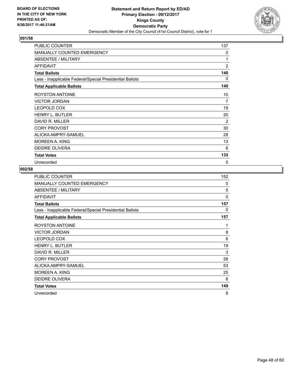

| PUBLIC COUNTER                                           | 137            |
|----------------------------------------------------------|----------------|
| MANUALLY COUNTED EMERGENCY                               | 0              |
| <b>ABSENTEE / MILITARY</b>                               | 1              |
| <b>AFFIDAVIT</b>                                         | $\overline{2}$ |
| <b>Total Ballots</b>                                     | 140            |
| Less - Inapplicable Federal/Special Presidential Ballots | 0              |
| <b>Total Applicable Ballots</b>                          | 140            |
| <b>ROYSTON ANTOINE</b>                                   | 10             |
| <b>VICTOR JORDAN</b>                                     | 7              |
| <b>LEOPOLD COX</b>                                       | 19             |
| <b>HENRY L. BUTLER</b>                                   | 20             |
| DAVID R. MILLER                                          | 2              |
| <b>CORY PROVOST</b>                                      | 30             |
| ALICKA AMPRY-SAMUEL                                      | 28             |
| MOREEN A. KING                                           | 13             |
| <b>DEIDRE OLIVERA</b>                                    | 6              |
| <b>Total Votes</b>                                       | 135            |
| Unrecorded                                               | 5              |

| PUBLIC COUNTER                                           | 152          |
|----------------------------------------------------------|--------------|
| <b>MANUALLY COUNTED EMERGENCY</b>                        | $\mathbf{0}$ |
| <b>ABSENTEE / MILITARY</b>                               | 5            |
| <b>AFFIDAVIT</b>                                         | $\mathbf{0}$ |
| <b>Total Ballots</b>                                     | 157          |
| Less - Inapplicable Federal/Special Presidential Ballots | 0            |
| <b>Total Applicable Ballots</b>                          | 157          |
| <b>ROYSTON ANTOINE</b>                                   | 1            |
| <b>VICTOR JORDAN</b>                                     | 8            |
| <b>LEOPOLD COX</b>                                       | 6            |
| <b>HENRY L. BUTLER</b>                                   | 19           |
| DAVID R. MILLER                                          | 3            |
| <b>CORY PROVOST</b>                                      | 28           |
| ALICKA AMPRY-SAMUEL                                      | 53           |
| <b>MOREEN A. KING</b>                                    | 25           |
| DEIDRE OLIVERA                                           | 6            |
| <b>Total Votes</b>                                       | 149          |
| Unrecorded                                               | 8            |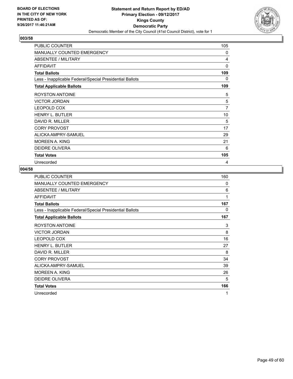

| PUBLIC COUNTER                                           | 105 |
|----------------------------------------------------------|-----|
| MANUALLY COUNTED EMERGENCY                               | 0   |
| <b>ABSENTEE / MILITARY</b>                               | 4   |
| <b>AFFIDAVIT</b>                                         | 0   |
| <b>Total Ballots</b>                                     | 109 |
| Less - Inapplicable Federal/Special Presidential Ballots | 0   |
| <b>Total Applicable Ballots</b>                          | 109 |
| <b>ROYSTON ANTOINE</b>                                   | 5   |
| <b>VICTOR JORDAN</b>                                     | 5   |
| <b>LEOPOLD COX</b>                                       | 7   |
| <b>HENRY L. BUTLER</b>                                   | 10  |
| DAVID R. MILLER                                          | 5   |
| <b>CORY PROVOST</b>                                      | 17  |
| ALICKA AMPRY-SAMUEL                                      | 29  |
| MOREEN A. KING                                           | 21  |
| <b>DEIDRE OLIVERA</b>                                    | 6   |
| <b>Total Votes</b>                                       | 105 |
| Unrecorded                                               | 4   |

| PUBLIC COUNTER                                           | 160          |
|----------------------------------------------------------|--------------|
| MANUALLY COUNTED EMERGENCY                               | $\mathbf{0}$ |
| ABSENTEE / MILITARY                                      | 6            |
| <b>AFFIDAVIT</b>                                         | 1            |
| <b>Total Ballots</b>                                     | 167          |
| Less - Inapplicable Federal/Special Presidential Ballots | 0            |
| <b>Total Applicable Ballots</b>                          | 167          |
| ROYSTON ANTOINE                                          | 3            |
| <b>VICTOR JORDAN</b>                                     | 8            |
| <b>LEOPOLD COX</b>                                       | 16           |
| <b>HENRY L. BUTLER</b>                                   | 27           |
| DAVID R. MILLER                                          | 8            |
| <b>CORY PROVOST</b>                                      | 34           |
| ALICKA AMPRY-SAMUEL                                      | 39           |
| MOREEN A. KING                                           | 26           |
| DEIDRE OLIVERA                                           | 5            |
| <b>Total Votes</b>                                       | 166          |
| Unrecorded                                               | 1            |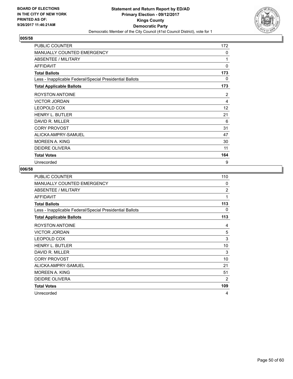

| PUBLIC COUNTER                                           | 172 |
|----------------------------------------------------------|-----|
| <b>MANUALLY COUNTED EMERGENCY</b>                        | 0   |
| <b>ABSENTEE / MILITARY</b>                               | 1   |
| <b>AFFIDAVIT</b>                                         | 0   |
| <b>Total Ballots</b>                                     | 173 |
| Less - Inapplicable Federal/Special Presidential Ballots | 0   |
| <b>Total Applicable Ballots</b>                          | 173 |
| <b>ROYSTON ANTOINE</b>                                   | 2   |
| <b>VICTOR JORDAN</b>                                     | 4   |
| <b>LEOPOLD COX</b>                                       | 12  |
| <b>HENRY L. BUTLER</b>                                   | 21  |
| DAVID R. MILLER                                          | 6   |
| <b>CORY PROVOST</b>                                      | 31  |
| ALICKA AMPRY-SAMUEL                                      | 47  |
| MOREEN A. KING                                           | 30  |
| <b>DEIDRE OLIVERA</b>                                    | 11  |
| <b>Total Votes</b>                                       | 164 |
| Unrecorded                                               | 9   |

| PUBLIC COUNTER                                           | 110            |
|----------------------------------------------------------|----------------|
| MANUALLY COUNTED EMERGENCY                               | 0              |
| <b>ABSENTEE / MILITARY</b>                               | $\overline{2}$ |
| <b>AFFIDAVIT</b>                                         | 1              |
| <b>Total Ballots</b>                                     | 113            |
| Less - Inapplicable Federal/Special Presidential Ballots | 0              |
| <b>Total Applicable Ballots</b>                          | 113            |
| <b>ROYSTON ANTOINE</b>                                   | 4              |
| <b>VICTOR JORDAN</b>                                     | 5              |
| LEOPOLD COX                                              | 3              |
| <b>HENRY L. BUTLER</b>                                   | 10             |
| DAVID R. MILLER                                          | 3              |
| <b>CORY PROVOST</b>                                      | 10             |
| ALICKA AMPRY-SAMUEL                                      | 21             |
| <b>MOREEN A. KING</b>                                    | 51             |
| <b>DEIDRE OLIVERA</b>                                    | $\overline{2}$ |
| <b>Total Votes</b>                                       | 109            |
| Unrecorded                                               | 4              |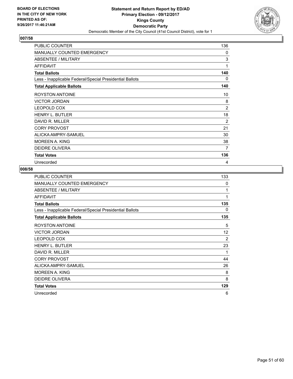

| PUBLIC COUNTER                                           | 136 |
|----------------------------------------------------------|-----|
| MANUALLY COUNTED EMERGENCY                               | 0   |
| <b>ABSENTEE / MILITARY</b>                               | 3   |
| <b>AFFIDAVIT</b>                                         | 1   |
| <b>Total Ballots</b>                                     | 140 |
| Less - Inapplicable Federal/Special Presidential Ballots | 0   |
| <b>Total Applicable Ballots</b>                          | 140 |
| <b>ROYSTON ANTOINE</b>                                   | 10  |
| <b>VICTOR JORDAN</b>                                     | 8   |
| <b>LEOPOLD COX</b>                                       | 2   |
| <b>HENRY L. BUTLER</b>                                   | 18  |
| DAVID R. MILLER                                          | 2   |
| <b>CORY PROVOST</b>                                      | 21  |
| ALICKA AMPRY-SAMUEL                                      | 30  |
| MOREEN A. KING                                           | 38  |
| <b>DEIDRE OLIVERA</b>                                    | 7   |
| <b>Total Votes</b>                                       | 136 |
| Unrecorded                                               | 4   |

| PUBLIC COUNTER                                           | 133      |
|----------------------------------------------------------|----------|
| <b>MANUALLY COUNTED EMERGENCY</b>                        | $\Omega$ |
| ABSENTEE / MILITARY                                      | 1        |
| <b>AFFIDAVIT</b>                                         | 1        |
| <b>Total Ballots</b>                                     | 135      |
| Less - Inapplicable Federal/Special Presidential Ballots | 0        |
| <b>Total Applicable Ballots</b>                          | 135      |
| <b>ROYSTON ANTOINE</b>                                   | 5        |
| <b>VICTOR JORDAN</b>                                     | 12       |
| <b>LEOPOLD COX</b>                                       | 2        |
| <b>HENRY L. BUTLER</b>                                   | 23       |
| DAVID R. MILLER                                          | 1        |
| <b>CORY PROVOST</b>                                      | 44       |
| ALICKA AMPRY-SAMUEL                                      | 26       |
| <b>MOREEN A. KING</b>                                    | 8        |
| DEIDRE OLIVERA                                           | 8        |
| <b>Total Votes</b>                                       | 129      |
| Unrecorded                                               | 6        |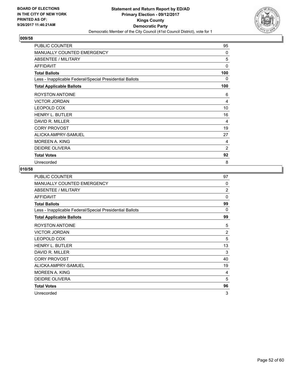

| PUBLIC COUNTER                                           | 95             |
|----------------------------------------------------------|----------------|
| <b>MANUALLY COUNTED EMERGENCY</b>                        | $\mathbf{0}$   |
| <b>ABSENTEE / MILITARY</b>                               | 5              |
| <b>AFFIDAVIT</b>                                         | 0              |
| <b>Total Ballots</b>                                     | 100            |
| Less - Inapplicable Federal/Special Presidential Ballots | 0              |
| <b>Total Applicable Ballots</b>                          | 100            |
| <b>ROYSTON ANTOINE</b>                                   | 6              |
| <b>VICTOR JORDAN</b>                                     | 4              |
| <b>LEOPOLD COX</b>                                       | 10             |
| <b>HENRY L. BUTLER</b>                                   | 16             |
| DAVID R. MILLER                                          | 4              |
| <b>CORY PROVOST</b>                                      | 19             |
| ALICKA AMPRY-SAMUEL                                      | 27             |
| MOREEN A. KING                                           | 4              |
| <b>DEIDRE OLIVERA</b>                                    | $\overline{2}$ |
| <b>Total Votes</b>                                       | 92             |
| Unrecorded                                               | 8              |

| PUBLIC COUNTER                                           | 97             |
|----------------------------------------------------------|----------------|
| MANUALLY COUNTED EMERGENCY                               | $\Omega$       |
| ABSENTEE / MILITARY                                      | $\overline{2}$ |
| <b>AFFIDAVIT</b>                                         | $\Omega$       |
| <b>Total Ballots</b>                                     | 99             |
| Less - Inapplicable Federal/Special Presidential Ballots | 0              |
| <b>Total Applicable Ballots</b>                          | 99             |
| <b>ROYSTON ANTOINE</b>                                   | 5              |
| <b>VICTOR JORDAN</b>                                     | $\overline{2}$ |
| LEOPOLD COX                                              | 5              |
| <b>HENRY L. BUTLER</b>                                   | 13             |
| DAVID R. MILLER                                          | 3              |
| <b>CORY PROVOST</b>                                      | 40             |
| ALICKA AMPRY-SAMUEL                                      | 19             |
| <b>MOREEN A. KING</b>                                    | 4              |
| DEIDRE OLIVERA                                           | 5              |
| <b>Total Votes</b>                                       | 96             |
| Unrecorded                                               | 3              |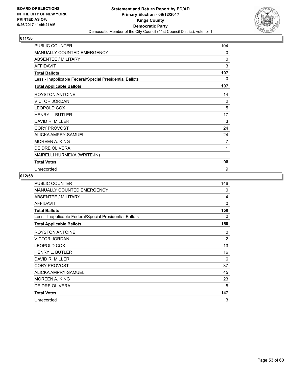

| PUBLIC COUNTER                                           | 104 |
|----------------------------------------------------------|-----|
| <b>MANUALLY COUNTED EMERGENCY</b>                        | 0   |
| ABSENTEE / MILITARY                                      | 0   |
| <b>AFFIDAVIT</b>                                         | 3   |
| <b>Total Ballots</b>                                     | 107 |
| Less - Inapplicable Federal/Special Presidential Ballots | 0   |
| <b>Total Applicable Ballots</b>                          | 107 |
| <b>ROYSTON ANTOINE</b>                                   | 14  |
| <b>VICTOR JORDAN</b>                                     | 2   |
| <b>LEOPOLD COX</b>                                       | 5   |
| <b>HENRY L. BUTLER</b>                                   | 17  |
| DAVID R. MILLER                                          | 3   |
| <b>CORY PROVOST</b>                                      | 24  |
| ALICKA AMPRY-SAMUEL                                      | 24  |
| <b>MOREEN A. KING</b>                                    | 7   |
| <b>DEIDRE OLIVERA</b>                                    | 1   |
| MAIRELLI HURMEKA (WRITE-IN)                              | 1   |
| <b>Total Votes</b>                                       | 98  |
| Unrecorded                                               | 9   |

| PUBLIC COUNTER                                           | 146            |
|----------------------------------------------------------|----------------|
| MANUALLY COUNTED EMERGENCY                               | $\Omega$       |
| <b>ABSENTEE / MILITARY</b>                               | 4              |
| <b>AFFIDAVIT</b>                                         | $\Omega$       |
| <b>Total Ballots</b>                                     | 150            |
| Less - Inapplicable Federal/Special Presidential Ballots | 0              |
| <b>Total Applicable Ballots</b>                          | 150            |
| <b>ROYSTON ANTOINE</b>                                   | 0              |
| <b>VICTOR JORDAN</b>                                     | $\overline{2}$ |
| <b>LEOPOLD COX</b>                                       | 13             |
| <b>HENRY L. BUTLER</b>                                   | 16             |
| DAVID R. MILLER                                          | 6              |
| <b>CORY PROVOST</b>                                      | 37             |
| ALICKA AMPRY-SAMUEL                                      | 45             |
| <b>MOREEN A. KING</b>                                    | 23             |
| <b>DEIDRE OLIVERA</b>                                    | 5              |
| <b>Total Votes</b>                                       | 147            |
| Unrecorded                                               | 3              |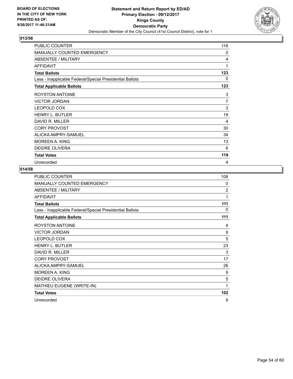

| <b>PUBLIC COUNTER</b>                                    | 118 |
|----------------------------------------------------------|-----|
| <b>MANUALLY COUNTED EMERGENCY</b>                        | 0   |
| ABSENTEE / MILITARY                                      | 4   |
| <b>AFFIDAVIT</b>                                         | 1   |
| <b>Total Ballots</b>                                     | 123 |
| Less - Inapplicable Federal/Special Presidential Ballots | 0   |
| <b>Total Applicable Ballots</b>                          | 123 |
| <b>ROYSTON ANTOINE</b>                                   | 3   |
| <b>VICTOR JORDAN</b>                                     | 7   |
| <b>LEOPOLD COX</b>                                       | 3   |
| <b>HENRY L. BUTLER</b>                                   | 19  |
| DAVID R. MILLER                                          | 4   |
| <b>CORY PROVOST</b>                                      | 30  |
| ALICKA AMPRY-SAMUEL                                      | 34  |
| MOREEN A. KING                                           | 13  |
| <b>DEIDRE OLIVERA</b>                                    | 6   |
| <b>Total Votes</b>                                       | 119 |
| Unrecorded                                               | 4   |

| PUBLIC COUNTER                                           | 108            |
|----------------------------------------------------------|----------------|
| MANUALLY COUNTED EMERGENCY                               | 0              |
| ABSENTEE / MILITARY                                      | $\overline{2}$ |
| <b>AFFIDAVIT</b>                                         | 1              |
| <b>Total Ballots</b>                                     | 111            |
| Less - Inapplicable Federal/Special Presidential Ballots | 0              |
| <b>Total Applicable Ballots</b>                          | 111            |
| <b>ROYSTON ANTOINE</b>                                   | 4              |
| <b>VICTOR JORDAN</b>                                     | 9              |
| LEOPOLD COX                                              | 5              |
| <b>HENRY L. BUTLER</b>                                   | 23             |
| DAVID R. MILLER                                          | 3              |
| <b>CORY PROVOST</b>                                      | 17             |
| ALICKA AMPRY-SAMUEL                                      | 26             |
| <b>MOREEN A. KING</b>                                    | 9              |
| <b>DEIDRE OLIVERA</b>                                    | 5              |
| MATHIEU EUGENE (WRITE-IN)                                | 1              |
| <b>Total Votes</b>                                       | 102            |
| Unrecorded                                               | 9              |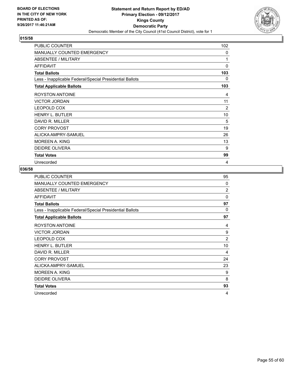

| <b>PUBLIC COUNTER</b>                                    | 102      |
|----------------------------------------------------------|----------|
| <b>MANUALLY COUNTED EMERGENCY</b>                        | 0        |
| ABSENTEE / MILITARY                                      | 1        |
| <b>AFFIDAVIT</b>                                         | $\Omega$ |
| <b>Total Ballots</b>                                     | 103      |
| Less - Inapplicable Federal/Special Presidential Ballots | 0        |
| <b>Total Applicable Ballots</b>                          | 103      |
| <b>ROYSTON ANTOINE</b>                                   | 4        |
| <b>VICTOR JORDAN</b>                                     | 11       |
| <b>LEOPOLD COX</b>                                       | 2        |
| <b>HENRY L. BUTLER</b>                                   | 10       |
| DAVID R. MILLER                                          | 5        |
| <b>CORY PROVOST</b>                                      | 19       |
| ALICKA AMPRY-SAMUEL                                      | 26       |
| <b>MOREEN A. KING</b>                                    | 13       |
| <b>DEIDRE OLIVERA</b>                                    | 9        |
| <b>Total Votes</b>                                       | 99       |
| Unrecorded                                               | 4        |

| PUBLIC COUNTER                                           | 95             |
|----------------------------------------------------------|----------------|
| MANUALLY COUNTED EMERGENCY                               | $\Omega$       |
| ABSENTEE / MILITARY                                      | $\overline{2}$ |
| <b>AFFIDAVIT</b>                                         | $\Omega$       |
| <b>Total Ballots</b>                                     | 97             |
| Less - Inapplicable Federal/Special Presidential Ballots | $\Omega$       |
| <b>Total Applicable Ballots</b>                          | 97             |
| ROYSTON ANTOINE                                          | 4              |
| <b>VICTOR JORDAN</b>                                     | 9              |
| LEOPOLD COX                                              | $\overline{2}$ |
| <b>HENRY L. BUTLER</b>                                   | 10             |
| DAVID R. MILLER                                          | 4              |
| <b>CORY PROVOST</b>                                      | 24             |
| ALICKA AMPRY-SAMUEL                                      | 23             |
| <b>MOREEN A. KING</b>                                    | 9              |
| <b>DEIDRE OLIVERA</b>                                    | 8              |
| <b>Total Votes</b>                                       | 93             |
| Unrecorded                                               | 4              |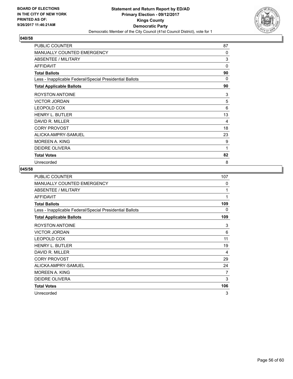

| <b>PUBLIC COUNTER</b>                                    | 87          |
|----------------------------------------------------------|-------------|
| <b>MANUALLY COUNTED EMERGENCY</b>                        | $\Omega$    |
| <b>ABSENTEE / MILITARY</b>                               | 3           |
| <b>AFFIDAVIT</b>                                         | $\mathbf 0$ |
| <b>Total Ballots</b>                                     | 90          |
| Less - Inapplicable Federal/Special Presidential Ballots | 0           |
| <b>Total Applicable Ballots</b>                          | 90          |
| <b>ROYSTON ANTOINE</b>                                   | 3           |
| <b>VICTOR JORDAN</b>                                     | 5           |
| <b>LEOPOLD COX</b>                                       | 6           |
| <b>HENRY L. BUTLER</b>                                   | 13          |
| DAVID R. MILLER                                          | 4           |
| <b>CORY PROVOST</b>                                      | 18          |
| ALICKA AMPRY-SAMUEL                                      | 23          |
| MOREEN A. KING                                           | 9           |
| <b>DEIDRE OLIVERA</b>                                    | 1           |
| <b>Total Votes</b>                                       | 82          |
| Unrecorded                                               | 8           |

| PUBLIC COUNTER                                           | 107          |
|----------------------------------------------------------|--------------|
| <b>MANUALLY COUNTED EMERGENCY</b>                        | $\mathbf{0}$ |
| <b>ABSENTEE / MILITARY</b>                               | 1            |
| <b>AFFIDAVIT</b>                                         | 1            |
| <b>Total Ballots</b>                                     | 109          |
| Less - Inapplicable Federal/Special Presidential Ballots | 0            |
| <b>Total Applicable Ballots</b>                          | 109          |
| <b>ROYSTON ANTOINE</b>                                   | 3            |
| <b>VICTOR JORDAN</b>                                     | 6            |
| <b>LEOPOLD COX</b>                                       | 11           |
| <b>HENRY L. BUTLER</b>                                   | 19           |
| DAVID R. MILLER                                          | 4            |
| <b>CORY PROVOST</b>                                      | 29           |
| ALICKA AMPRY-SAMUEL                                      | 24           |
| <b>MOREEN A. KING</b>                                    | 7            |
| DEIDRE OLIVERA                                           | 3            |
| <b>Total Votes</b>                                       | 106          |
| Unrecorded                                               | 3            |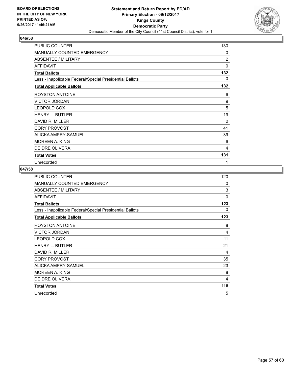

| PUBLIC COUNTER                                           | 130            |
|----------------------------------------------------------|----------------|
| MANUALLY COUNTED EMERGENCY                               | 0              |
| <b>ABSENTEE / MILITARY</b>                               | $\overline{2}$ |
| <b>AFFIDAVIT</b>                                         | 0              |
| <b>Total Ballots</b>                                     | 132            |
| Less - Inapplicable Federal/Special Presidential Ballots | 0              |
| <b>Total Applicable Ballots</b>                          | 132            |
| <b>ROYSTON ANTOINE</b>                                   | 6              |
| <b>VICTOR JORDAN</b>                                     | 9              |
| <b>LEOPOLD COX</b>                                       | 5              |
| <b>HENRY L. BUTLER</b>                                   | 19             |
| DAVID R. MILLER                                          | 2              |
| <b>CORY PROVOST</b>                                      | 41             |
| ALICKA AMPRY-SAMUEL                                      | 39             |
| MOREEN A. KING                                           | 6              |
| <b>DEIDRE OLIVERA</b>                                    | 4              |
| <b>Total Votes</b>                                       | 131            |
| Unrecorded                                               | 1              |

| <b>PUBLIC COUNTER</b>                                    | 120          |
|----------------------------------------------------------|--------------|
| <b>MANUALLY COUNTED EMERGENCY</b>                        | $\Omega$     |
| <b>ABSENTEE / MILITARY</b>                               | 3            |
| <b>AFFIDAVIT</b>                                         | $\mathbf{0}$ |
| <b>Total Ballots</b>                                     | 123          |
| Less - Inapplicable Federal/Special Presidential Ballots | 0            |
| <b>Total Applicable Ballots</b>                          | 123          |
| <b>ROYSTON ANTOINE</b>                                   | 8            |
| <b>VICTOR JORDAN</b>                                     | 4            |
| LEOPOLD COX                                              | 11           |
| <b>HENRY L. BUTLER</b>                                   | 21           |
| DAVID R. MILLER                                          | 4            |
| <b>CORY PROVOST</b>                                      | 35           |
| ALICKA AMPRY-SAMUEL                                      | 23           |
| <b>MOREEN A. KING</b>                                    | 8            |
| <b>DEIDRE OLIVERA</b>                                    | 4            |
| <b>Total Votes</b>                                       | 118          |
| Unrecorded                                               | 5            |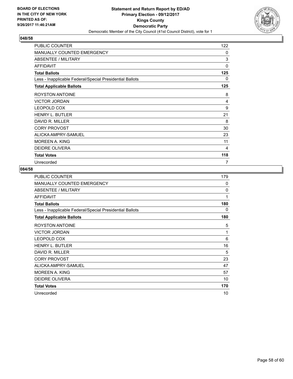

| PUBLIC COUNTER                                           | 122 |
|----------------------------------------------------------|-----|
| MANUALLY COUNTED EMERGENCY                               | 0   |
| <b>ABSENTEE / MILITARY</b>                               | 3   |
| <b>AFFIDAVIT</b>                                         | 0   |
| <b>Total Ballots</b>                                     | 125 |
| Less - Inapplicable Federal/Special Presidential Ballots | 0   |
| <b>Total Applicable Ballots</b>                          | 125 |
| <b>ROYSTON ANTOINE</b>                                   | 8   |
| <b>VICTOR JORDAN</b>                                     | 4   |
| <b>LEOPOLD COX</b>                                       | 9   |
| <b>HENRY L. BUTLER</b>                                   | 21  |
| DAVID R. MILLER                                          | 8   |
| <b>CORY PROVOST</b>                                      | 30  |
| ALICKA AMPRY-SAMUEL                                      | 23  |
| MOREEN A. KING                                           | 11  |
| <b>DEIDRE OLIVERA</b>                                    | 4   |
| <b>Total Votes</b>                                       | 118 |
| Unrecorded                                               | 7   |

| PUBLIC COUNTER                                           | 179          |
|----------------------------------------------------------|--------------|
| <b>MANUALLY COUNTED EMERGENCY</b>                        | $\mathbf{0}$ |
| <b>ABSENTEE / MILITARY</b>                               | $\mathbf{0}$ |
| <b>AFFIDAVIT</b>                                         | 1            |
| <b>Total Ballots</b>                                     | 180          |
| Less - Inapplicable Federal/Special Presidential Ballots | 0            |
| <b>Total Applicable Ballots</b>                          | 180          |
| <b>ROYSTON ANTOINE</b>                                   | 5            |
| <b>VICTOR JORDAN</b>                                     | 1            |
| <b>LEOPOLD COX</b>                                       | 6            |
| <b>HENRY L. BUTLER</b>                                   | 16           |
| DAVID R. MILLER                                          | 5            |
| <b>CORY PROVOST</b>                                      | 23           |
| ALICKA AMPRY-SAMUEL                                      | 47           |
| <b>MOREEN A. KING</b>                                    | 57           |
| DEIDRE OLIVERA                                           | 10           |
| <b>Total Votes</b>                                       | 170          |
| Unrecorded                                               | 10           |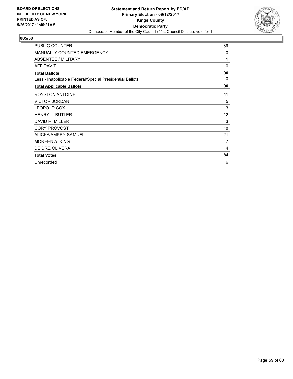

| <b>PUBLIC COUNTER</b>                                    | 89 |
|----------------------------------------------------------|----|
| <b>MANUALLY COUNTED EMERGENCY</b>                        | 0  |
| ABSENTEE / MILITARY                                      | 1  |
| <b>AFFIDAVIT</b>                                         | 0  |
| <b>Total Ballots</b>                                     | 90 |
| Less - Inapplicable Federal/Special Presidential Ballots | 0  |
| <b>Total Applicable Ballots</b>                          | 90 |
| ROYSTON ANTOINE                                          | 11 |
| <b>VICTOR JORDAN</b>                                     | 5  |
| <b>LEOPOLD COX</b>                                       | 3  |
| <b>HENRY L. BUTLER</b>                                   | 12 |
| DAVID R. MILLER                                          | 3  |
| <b>CORY PROVOST</b>                                      | 18 |
| ALICKA AMPRY-SAMUEL                                      | 21 |
| <b>MOREEN A. KING</b>                                    | 7  |
| <b>DEIDRE OLIVERA</b>                                    | 4  |
| <b>Total Votes</b>                                       | 84 |
| Unrecorded                                               | 6  |